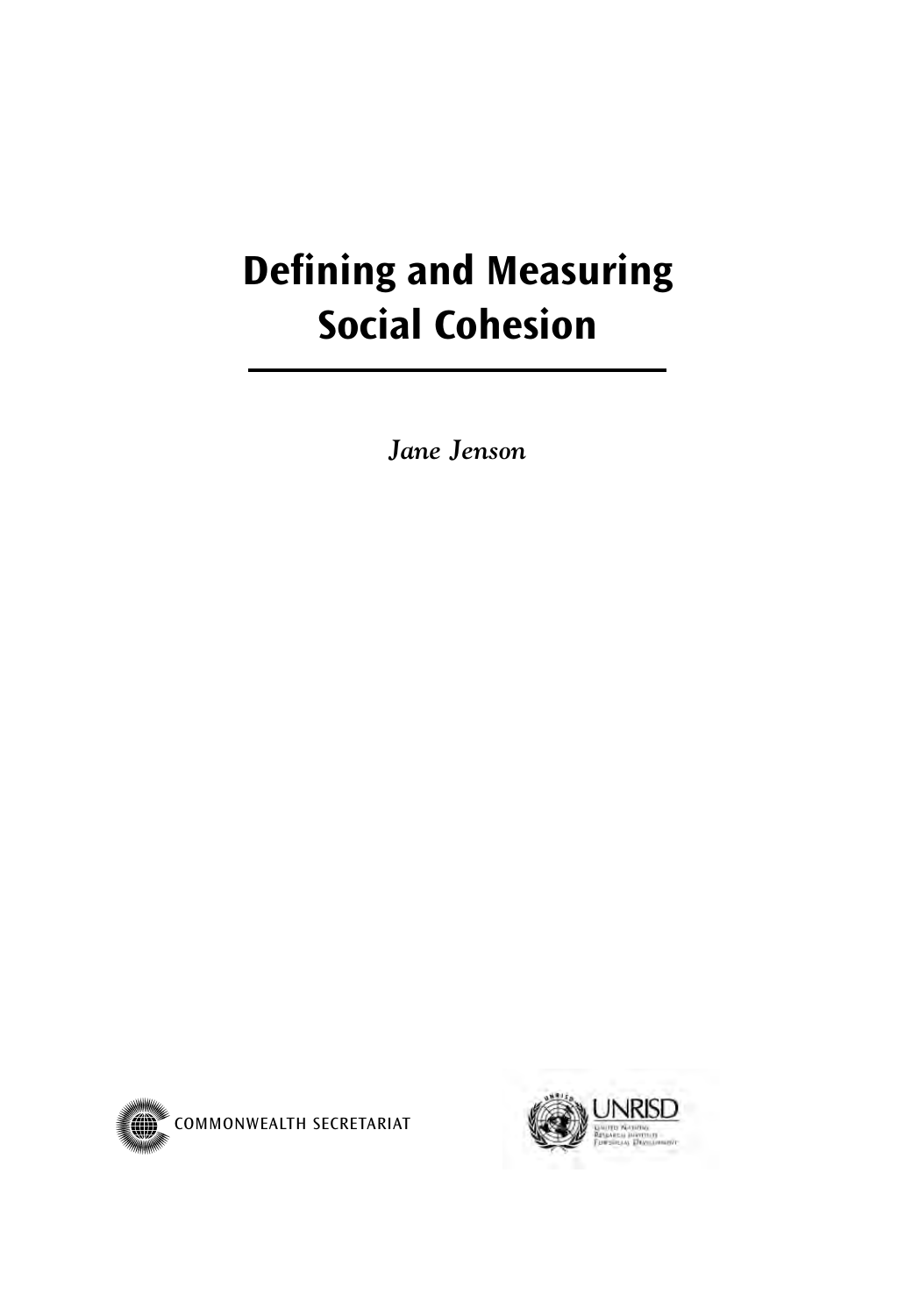# **Defining and Measuring Social Cohesion**

*Jane Jenson*



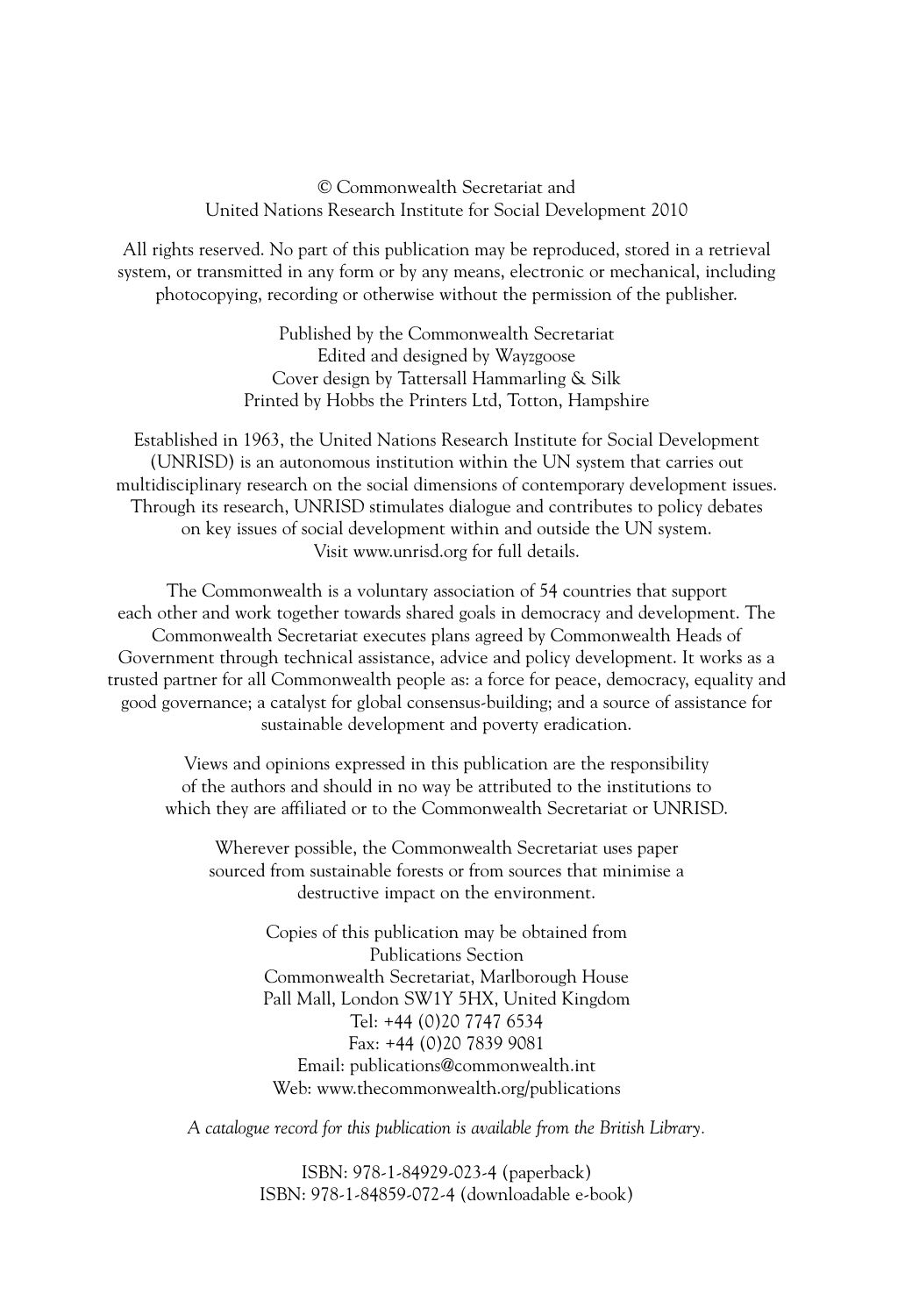© Commonwealth Secretariat and United Nations Research Institute for Social Development 2010

All rights reserved. No part of this publication may be reproduced, stored in a retrieval system, or transmitted in any form or by any means, electronic or mechanical, including photocopying, recording or otherwise without the permission of the publisher.

> Published by the Commonwealth Secretariat Edited and designed by Wayzgoose Cover design by Tattersall Hammarling & Silk Printed by Hobbs the Printers Ltd, Totton, Hampshire

Established in 1963, the United Nations Research Institute for Social Development (UNRISD) is an autonomous institution within the UN system that carries out multidisciplinary research on the social dimensions of contemporary development issues. Through its research, UNRISD stimulates dialogue and contributes to policy debates on key issues of social development within and outside the UN system. Visit www.unrisd.org for full details.

The Commonwealth is a voluntary association of 54 countries that support each other and work together towards shared goals in democracy and development. The Commonwealth Secretariat executes plans agreed by Commonwealth Heads of Government through technical assistance, advice and policy development. It works as a trusted partner for all Commonwealth people as: a force for peace, democracy, equality and good governance; a catalyst for global consensus-building; and a source of assistance for sustainable development and poverty eradication.

Views and opinions expressed in this publication are the responsibility of the authors and should in no way be attributed to the institutions to which they are affiliated or to the Commonwealth Secretariat or UNRISD.

Wherever possible, the Commonwealth Secretariat uses paper sourced from sustainable forests or from sources that minimise a destructive impact on the environment.

> Copies of this publication may be obtained from Publications Section Commonwealth Secretariat, Marlborough House Pall Mall, London SW1Y 5HX, United Kingdom Tel: +44 (0)20 7747 6534 Fax: +44 (0)20 7839 9081 Email: publications@commonwealth.int Web: www.thecommonwealth.org/publications

*A catalogue record for this publication is available from the British Library.*

ISBN: 978-1-84929-023-4 (paperback) ISBN: 978-1-84859-072-4 (downloadable e-book)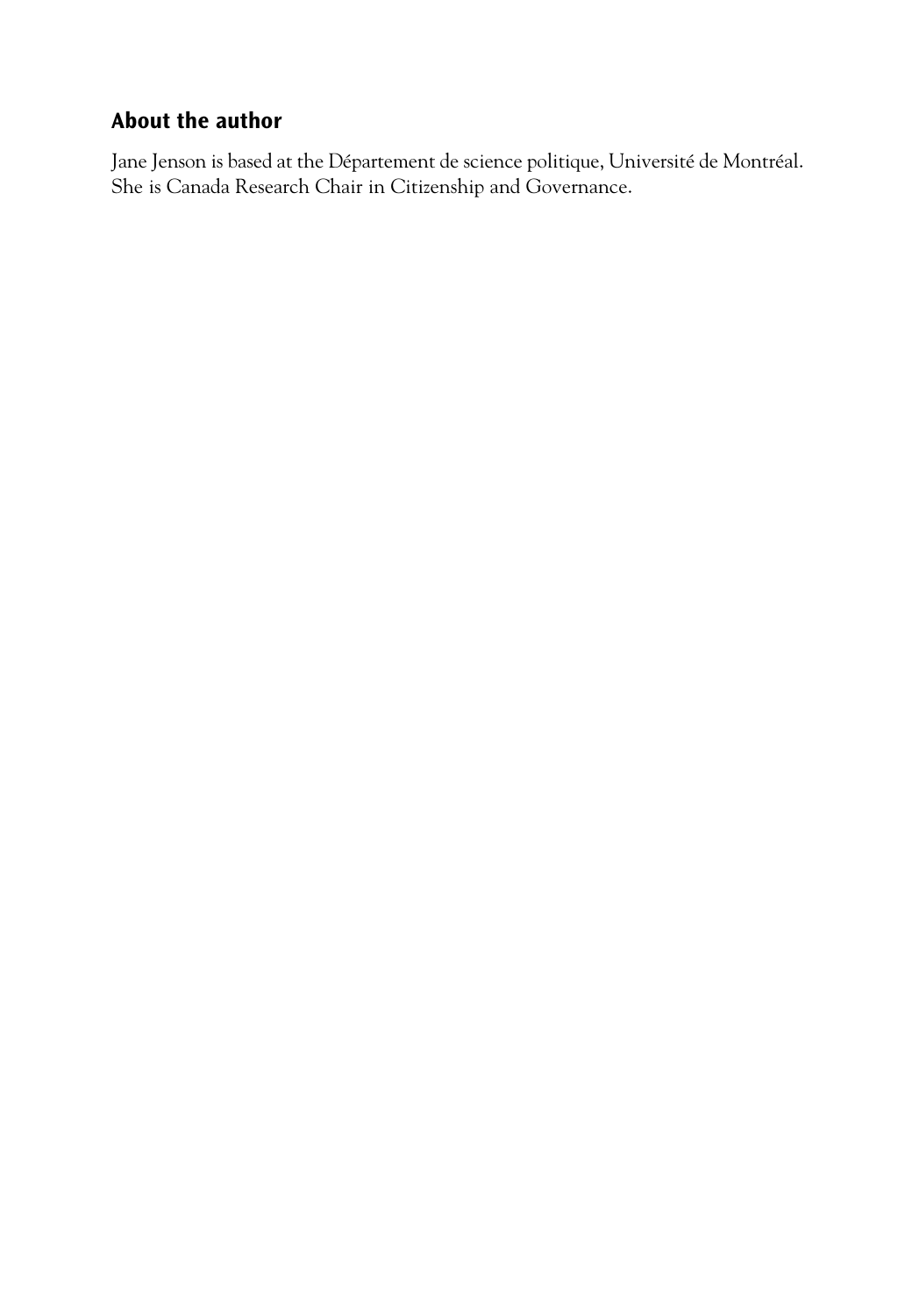### **About the author**

Jane Jenson is based at the Département de science politique, Université de Montréal. She is Canada Research Chair in Citizenship and Governance.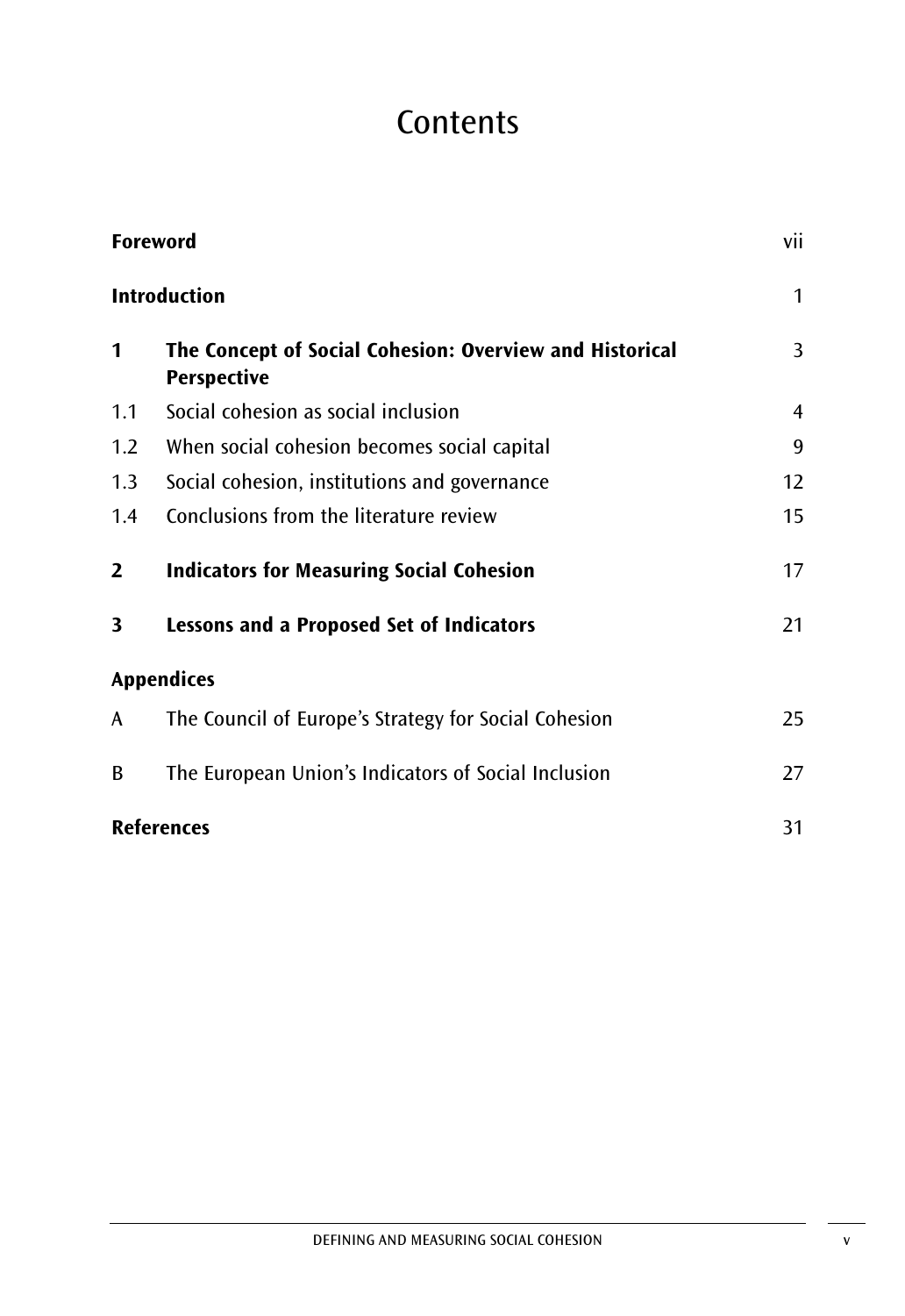# **Contents**

| <b>Foreword</b>     |                                                                               |                |  |
|---------------------|-------------------------------------------------------------------------------|----------------|--|
| <b>Introduction</b> |                                                                               |                |  |
| 1                   | The Concept of Social Cohesion: Overview and Historical<br><b>Perspective</b> | 3              |  |
| 1.1                 | Social cohesion as social inclusion                                           | $\overline{4}$ |  |
| 1.2                 | When social cohesion becomes social capital                                   | 9              |  |
| 1.3                 | Social cohesion, institutions and governance                                  | 12             |  |
| 1.4                 | Conclusions from the literature review                                        | 15             |  |
| $\overline{2}$      | <b>Indicators for Measuring Social Cohesion</b>                               | 17             |  |
| 3                   | <b>Lessons and a Proposed Set of Indicators</b>                               | 21             |  |
|                     | <b>Appendices</b>                                                             |                |  |
| A                   | The Council of Europe's Strategy for Social Cohesion                          | 25             |  |
| B                   | The European Union's Indicators of Social Inclusion                           | 27             |  |
|                     | <b>References</b>                                                             | 31             |  |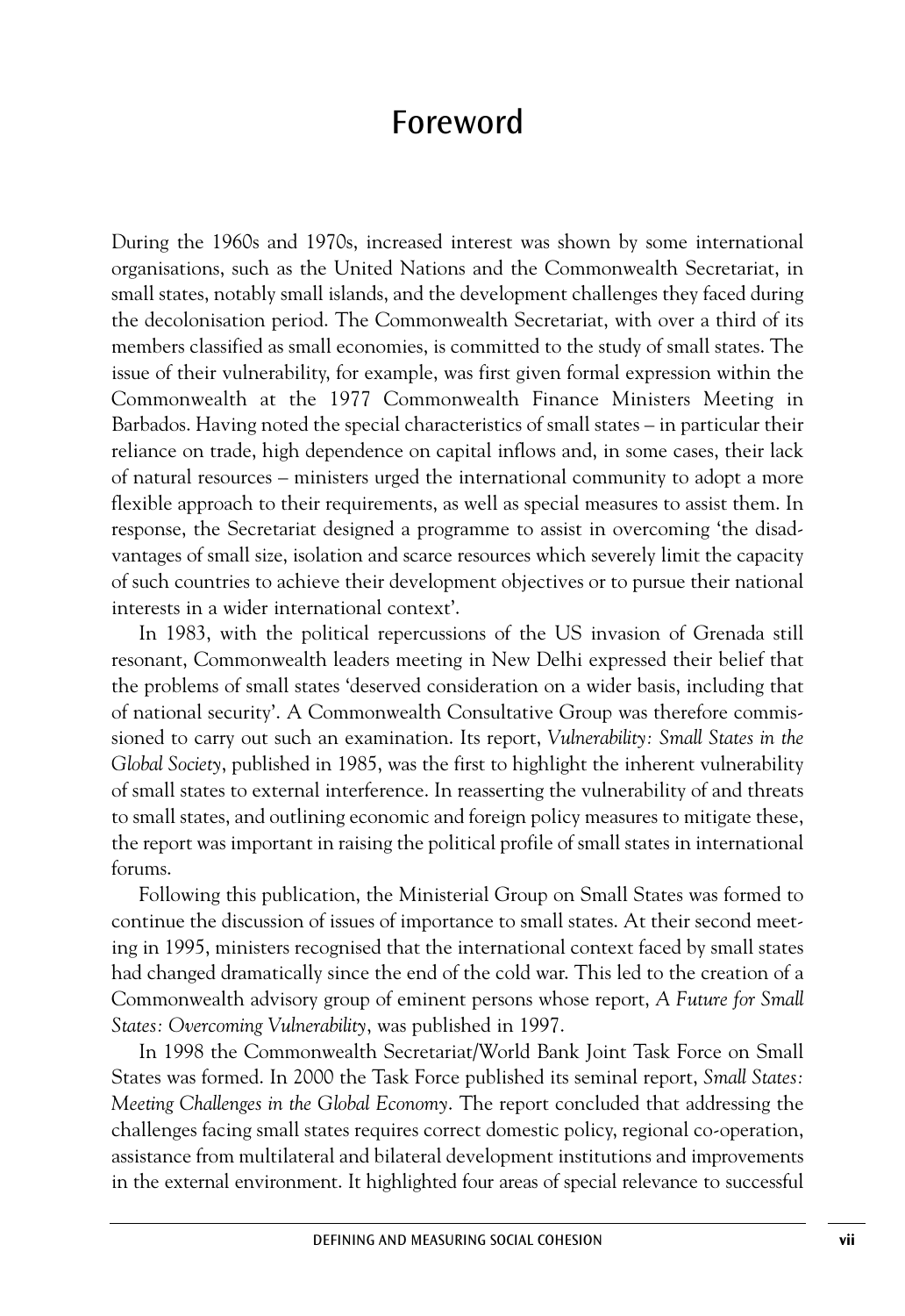### Foreword

During the 1960s and 1970s, increased interest was shown by some international organisations, such as the United Nations and the Commonwealth Secretariat, in small states, notably small islands, and the development challenges they faced during the decolonisation period. The Commonwealth Secretariat, with over a third of its members classified as small economies, is committed to the study of small states. The issue of their vulnerability, for example, was first given formal expression within the Commonwealth at the 1977 Commonwealth Finance Ministers Meeting in Barbados. Having noted the special characteristics of small states – in particular their reliance on trade, high dependence on capital inflows and, in some cases, their lack of natural resources – ministers urged the international community to adopt a more flexible approach to their requirements, as well as special measures to assist them. In response, the Secretariat designed a programme to assist in overcoming 'the disadvantages of small size, isolation and scarce resources which severely limit the capacity of such countries to achieve their development objectives or to pursue their national interests in a wider international context'.

In 1983, with the political repercussions of the US invasion of Grenada still resonant, Commonwealth leaders meeting in New Delhi expressed their belief that the problems of small states 'deserved consideration on a wider basis, including that of national security'. A Commonwealth Consultative Group was therefore commissioned to carry out such an examination. Its report, *Vulnerability: Small States in the Global Society*, published in 1985, was the first to highlight the inherent vulnerability of small states to external interference. In reasserting the vulnerability of and threats to small states, and outlining economic and foreign policy measures to mitigate these, the report was important in raising the political profile of small states in international forums.

Following this publication, the Ministerial Group on Small States was formed to continue the discussion of issues of importance to small states. At their second meeting in 1995, ministers recognised that the international context faced by small states had changed dramatically since the end of the cold war. This led to the creation of a Commonwealth advisory group of eminent persons whose report, *A Future for Small States: Overcoming Vulnerability*, was published in 1997.

In 1998 the Commonwealth Secretariat/World Bank Joint Task Force on Small States was formed. In 2000 the Task Force published its seminal report, *Small States: Meeting Challenges in the Global Economy*. The report concluded that addressing the challenges facing small states requires correct domestic policy, regional co-operation, assistance from multilateral and bilateral development institutions and improvements in the external environment. It highlighted four areas of special relevance to successful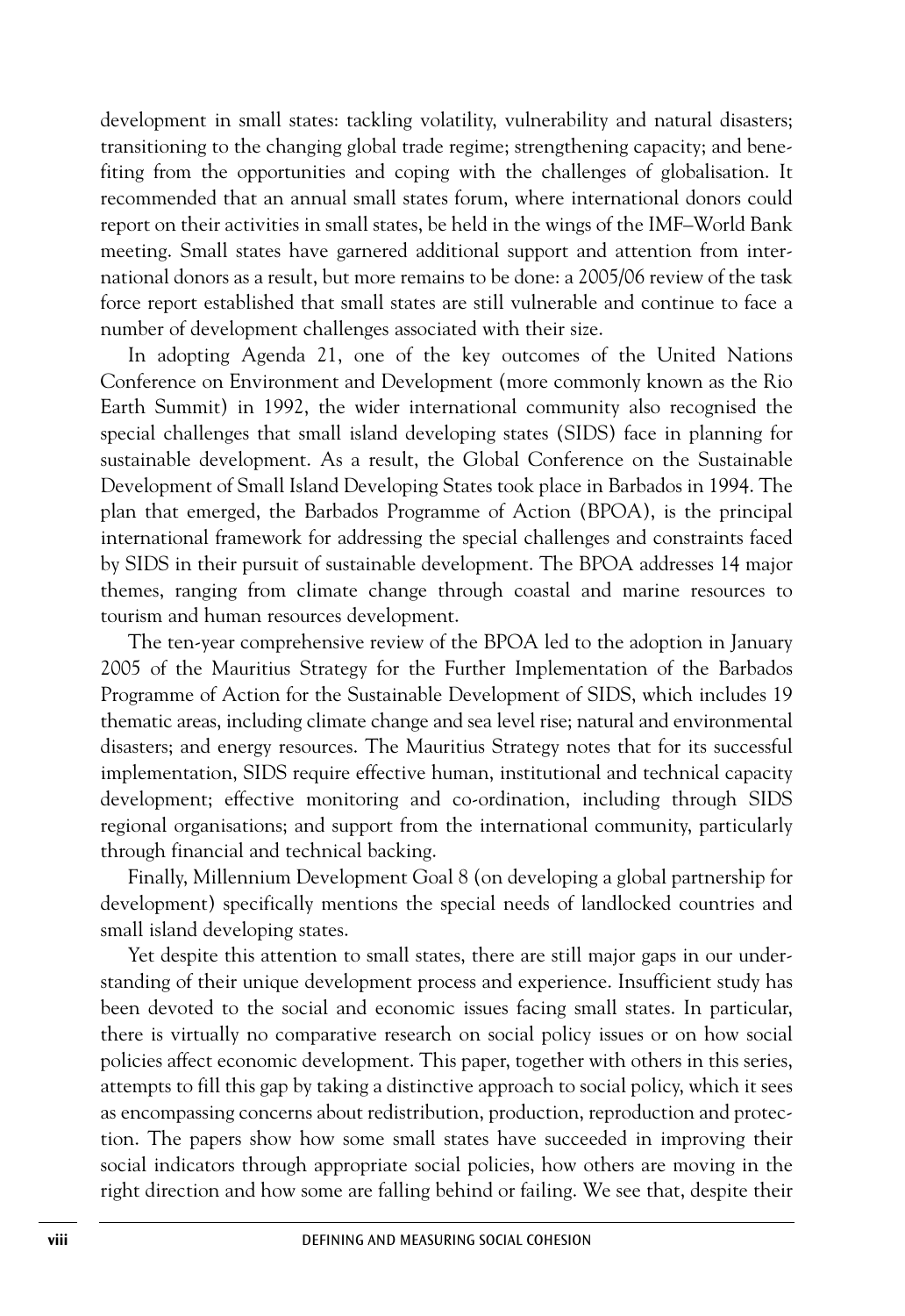development in small states: tackling volatility, vulnerability and natural disasters; transitioning to the changing global trade regime; strengthening capacity; and benefiting from the opportunities and coping with the challenges of globalisation. It recommended that an annual small states forum, where international donors could report on their activities in small states, be held in the wings of the IMF–World Bank meeting. Small states have garnered additional support and attention from international donors as a result, but more remains to be done: a 2005/06 review of the task force report established that small states are still vulnerable and continue to face a number of development challenges associated with their size.

In adopting Agenda 21, one of the key outcomes of the United Nations Conference on Environment and Development (more commonly known as the Rio Earth Summit) in 1992, the wider international community also recognised the special challenges that small island developing states (SIDS) face in planning for sustainable development. As a result, the Global Conference on the Sustainable Development of Small Island Developing States took place in Barbados in 1994. The plan that emerged, the Barbados Programme of Action (BPOA), is the principal international framework for addressing the special challenges and constraints faced by SIDS in their pursuit of sustainable development. The BPOA addresses 14 major themes, ranging from climate change through coastal and marine resources to tourism and human resources development.

The ten-year comprehensive review of the BPOA led to the adoption in January 2005 of the Mauritius Strategy for the Further Implementation of the Barbados Programme of Action for the Sustainable Development of SIDS, which includes 19 thematic areas, including climate change and sea level rise; natural and environmental disasters; and energy resources. The Mauritius Strategy notes that for its successful implementation, SIDS require effective human, institutional and technical capacity development; effective monitoring and co-ordination, including through SIDS regional organisations; and support from the international community, particularly through financial and technical backing.

Finally, Millennium Development Goal 8 (on developing a global partnership for development) specifically mentions the special needs of landlocked countries and small island developing states.

Yet despite this attention to small states, there are still major gaps in our understanding of their unique development process and experience. Insufficient study has been devoted to the social and economic issues facing small states. In particular, there is virtually no comparative research on social policy issues or on how social policies affect economic development. This paper, together with others in this series, attempts to fill this gap by taking a distinctive approach to social policy, which it sees as encompassing concerns about redistribution, production, reproduction and protection. The papers show how some small states have succeeded in improving their social indicators through appropriate social policies, how others are moving in the right direction and how some are falling behind or failing. We see that, despite their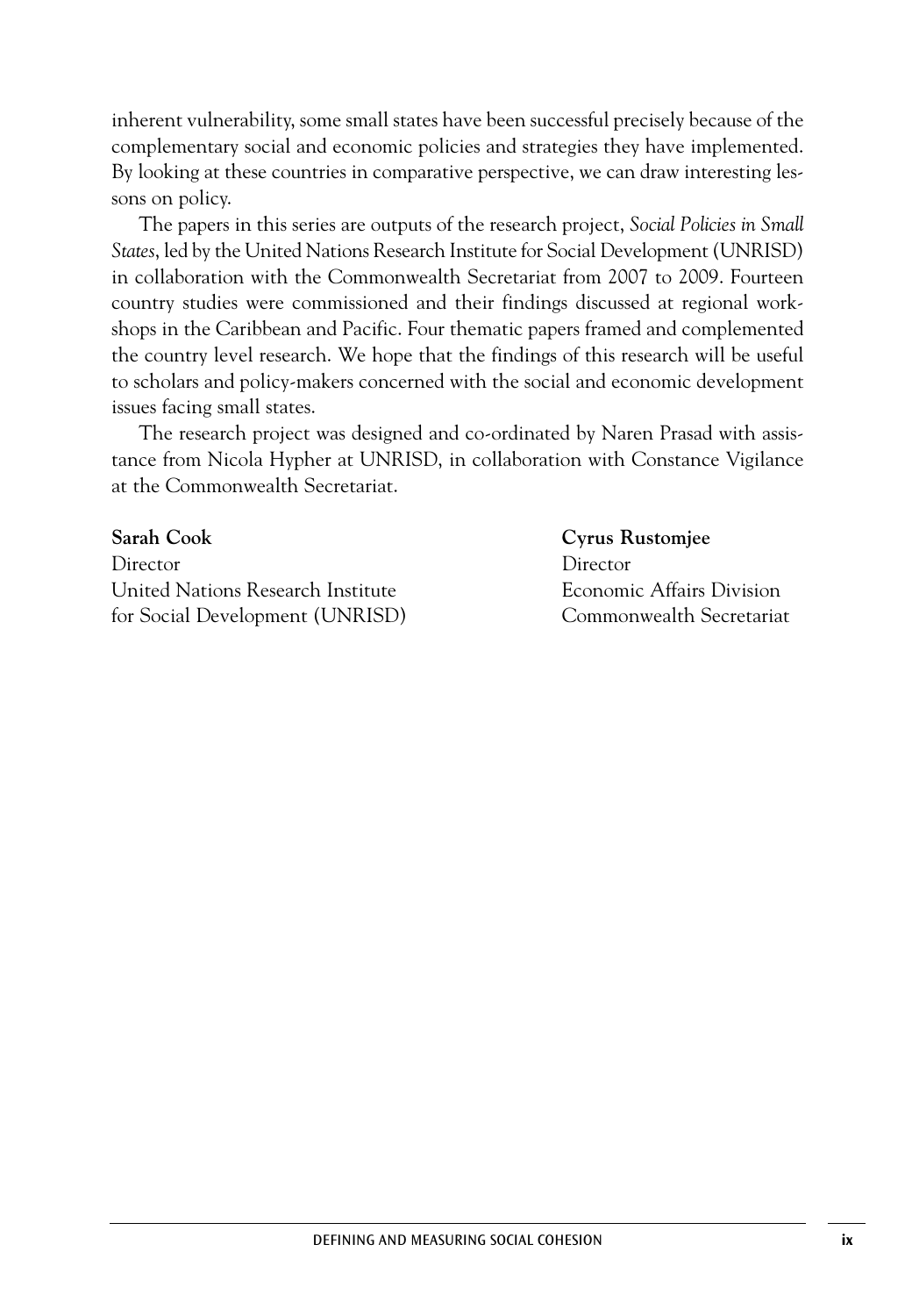inherent vulnerability, some small states have been successful precisely because of the complementary social and economic policies and strategies they have implemented. By looking at these countries in comparative perspective, we can draw interesting lessons on policy.

The papers in this series are outputs of the research project, *Social Policies in Small States*, led by the United Nations Research Institute for Social Development (UNRISD) in collaboration with the Commonwealth Secretariat from 2007 to 2009. Fourteen country studies were commissioned and their findings discussed at regional workshops in the Caribbean and Pacific. Four thematic papers framed and complemented the country level research. We hope that the findings of this research will be useful to scholars and policy-makers concerned with the social and economic development issues facing small states.

The research project was designed and co-ordinated by Naren Prasad with assistance from Nicola Hypher at UNRISD, in collaboration with Constance Vigilance at the Commonwealth Secretariat.

**Sarah Cook Cyrus Rustomjee** Director Director United Nations Research Institute Economic Affairs Division for Social Development (UNRISD) Commonwealth Secretariat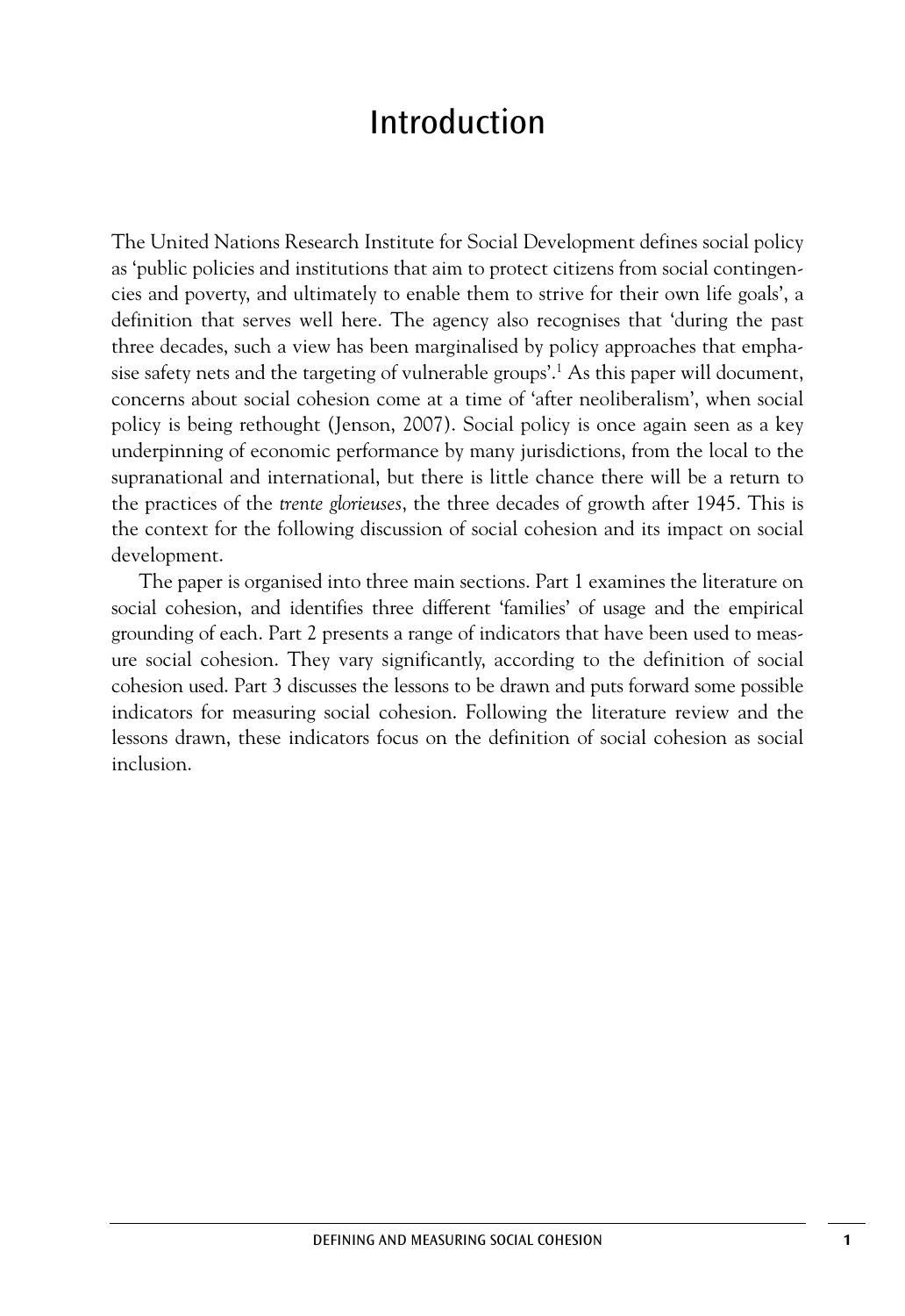## Introduction

The United Nations Research Institute for Social Development defines social policy as 'public policies and institutions that aim to protect citizens from social contingencies and poverty, and ultimately to enable them to strive for their own life goals', a definition that serves well here. The agency also recognises that 'during the past three decades, such a view has been marginalised by policy approaches that emphasise safety nets and the targeting of vulnerable groups'. <sup>1</sup> As this paper will document, concerns about social cohesion come at a time of 'after neoliberalism', when social policy is being rethought (Jenson, 2007). Social policy is once again seen as a key underpinning of economic performance by many jurisdictions, from the local to the supranational and international, but there is little chance there will be a return to the practices of the *trente glorieuses*, the three decades of growth after 1945. This is the context for the following discussion of social cohesion and its impact on social development.

The paper is organised into three main sections. Part 1 examines the literature on social cohesion, and identifies three different 'families' of usage and the empirical grounding of each. Part 2 presents a range of indicators that have been used to measure social cohesion. They vary significantly, according to the definition of social cohesion used. Part 3 discusses the lessons to be drawn and puts forward some possible indicators for measuring social cohesion. Following the literature review and the lessons drawn, these indicators focus on the definition of social cohesion as social inclusion.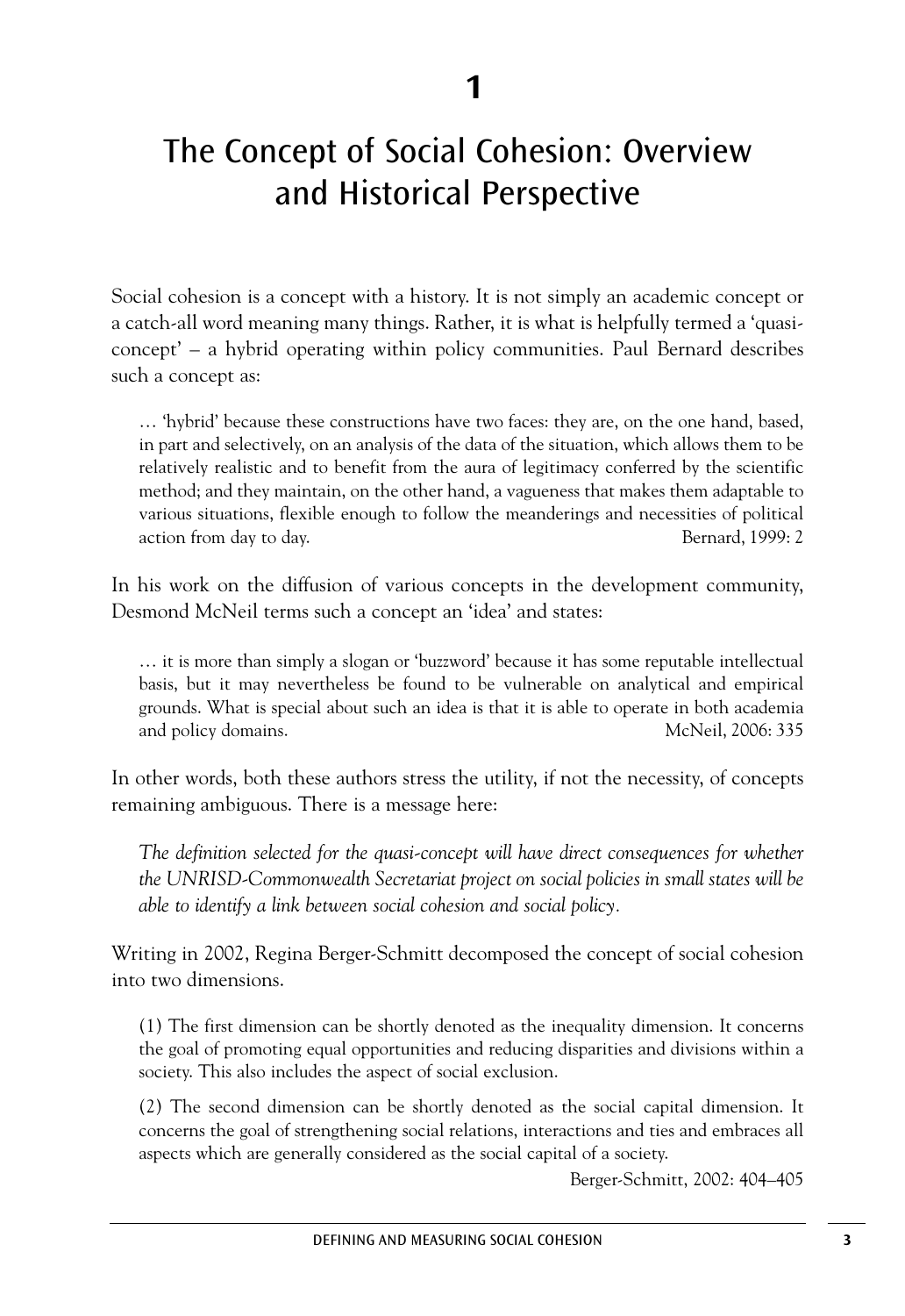# The Concept of Social Cohesion: Overview and Historical Perspective

Social cohesion is a concept with a history. It is not simply an academic concept or a catch-all word meaning many things. Rather, it is what is helpfully termed a 'quasiconcept' – a hybrid operating within policy communities. Paul Bernard describes such a concept as:

… 'hybrid' because these constructions have two faces: they are, on the one hand, based, in part and selectively, on an analysis of the data of the situation, which allows them to be relatively realistic and to benefit from the aura of legitimacy conferred by the scientific method; and they maintain, on the other hand, a vagueness that makes them adaptable to various situations, flexible enough to follow the meanderings and necessities of political action from day to day. Bernard, 1999: 2

In his work on the diffusion of various concepts in the development community, Desmond McNeil terms such a concept an 'idea' and states:

… it is more than simply a slogan or 'buzzword' because it has some reputable intellectual basis, but it may nevertheless be found to be vulnerable on analytical and empirical grounds. What is special about such an idea is that it is able to operate in both academia and policy domains. McNeil, 2006: 335

In other words, both these authors stress the utility, if not the necessity, of concepts remaining ambiguous. There is a message here:

*The definition selected for the quasi-concept will have direct consequences for whether the UNRISD-Commonwealth Secretariat project on social policies in small states will be able to identify a link between social cohesion and social policy.*

Writing in 2002, Regina Berger-Schmitt decomposed the concept of social cohesion into two dimensions.

(1) The first dimension can be shortly denoted as the inequality dimension. It concerns the goal of promoting equal opportunities and reducing disparities and divisions within a society. This also includes the aspect of social exclusion.

(2) The second dimension can be shortly denoted as the social capital dimension. It concerns the goal of strengthening social relations, interactions and ties and embraces all aspects which are generally considered as the social capital of a society.

Berger-Schmitt, 2002: 404–405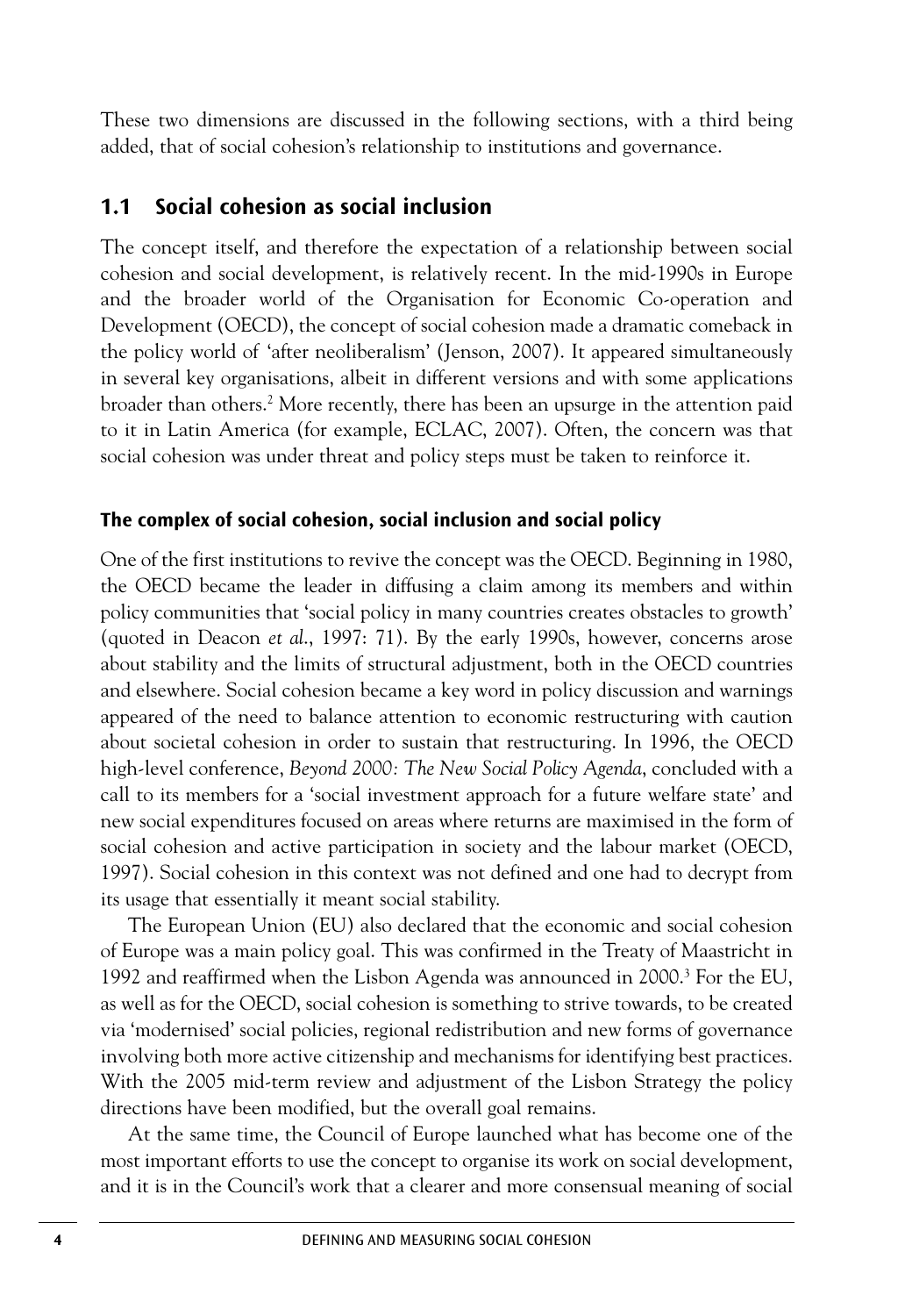These two dimensions are discussed in the following sections, with a third being added, that of social cohesion's relationship to institutions and governance.

### **1.1 Social cohesion as social inclusion**

The concept itself, and therefore the expectation of a relationship between social cohesion and social development, is relatively recent. In the mid-1990s in Europe and the broader world of the Organisation for Economic Co-operation and Development (OECD), the concept of social cohesion made a dramatic comeback in the policy world of 'after neoliberalism' (Jenson, 2007). It appeared simultaneously in several key organisations, albeit in different versions and with some applications broader than others. <sup>2</sup> More recently, there has been an upsurge in the attention paid to it in Latin America (for example, ECLAC, 2007). Often, the concern was that social cohesion was under threat and policy steps must be taken to reinforce it.

#### **The complex of social cohesion, social inclusion and social policy**

One of the first institutions to revive the concept was the OECD. Beginning in 1980, the OECD became the leader in diffusing a claim among its members and within policy communities that 'social policy in many countries creates obstacles to growth' (quoted in Deacon *et al*., 1997: 71). By the early 1990s, however, concerns arose about stability and the limits of structural adjustment, both in the OECD countries and elsewhere. Social cohesion became a key word in policy discussion and warnings appeared of the need to balance attention to economic restructuring with caution about societal cohesion in order to sustain that restructuring. In 1996, the OECD high-level conference, *Beyond 2000: The New Social Policy Agenda*, concluded with a call to its members for a 'social investment approach for a future welfare state' and new social expenditures focused on areas where returns are maximised in the form of social cohesion and active participation in society and the labour market (OECD, 1997). Social cohesion in this context was not defined and one had to decrypt from its usage that essentially it meant social stability.

The European Union (EU) also declared that the economic and social cohesion of Europe was a main policy goal. This was confirmed in the Treaty of Maastricht in 1992 and reaffirmed when the Lisbon Agenda was announced in 2000. <sup>3</sup> For the EU, as well as for the OECD, social cohesion is something to strive towards, to be created via 'modernised' social policies, regional redistribution and new forms of governance involving both more active citizenship and mechanisms for identifying best practices. With the 2005 mid-term review and adjustment of the Lisbon Strategy the policy directions have been modified, but the overall goal remains.

At the same time, the Council of Europe launched what has become one of the most important efforts to use the concept to organise its work on social development, and it is in the Council's work that a clearer and more consensual meaning of social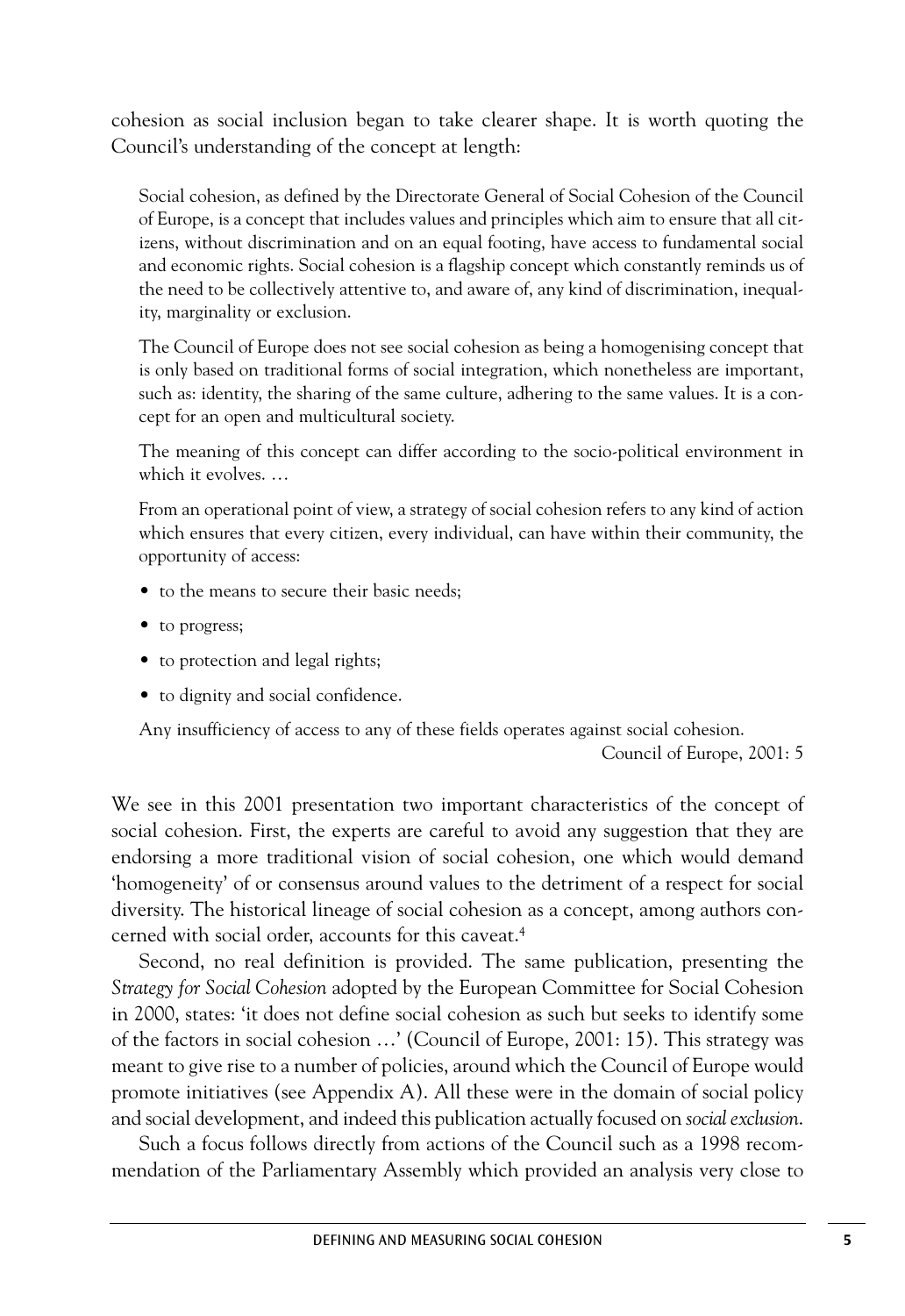cohesion as social inclusion began to take clearer shape. It is worth quoting the Council's understanding of the concept at length:

Social cohesion, as defined by the Directorate General of Social Cohesion of the Council of Europe, is a concept that includes values and principles which aim to ensure that all citizens, without discrimination and on an equal footing, have access to fundamental social and economic rights. Social cohesion is a flagship concept which constantly reminds us of the need to be collectively attentive to, and aware of, any kind of discrimination, inequality, marginality or exclusion.

The Council of Europe does not see social cohesion as being a homogenising concept that is only based on traditional forms of social integration, which nonetheless are important, such as: identity, the sharing of the same culture, adhering to the same values. It is a concept for an open and multicultural society.

The meaning of this concept can differ according to the socio-political environment in which it evolves. …

From an operational point of view, a strategy of social cohesion refers to any kind of action which ensures that every citizen, every individual, can have within their community, the opportunity of access:

- to the means to secure their basic needs;
- to progress;
- to protection and legal rights;
- to dignity and social confidence.

Any insufficiency of access to any of these fields operates against social cohesion.

Council of Europe, 2001: 5

We see in this 2001 presentation two important characteristics of the concept of social cohesion. First, the experts are careful to avoid any suggestion that they are endorsing a more traditional vision of social cohesion, one which would demand 'homogeneity' of or consensus around values to the detriment of a respect for social diversity. The historical lineage of social cohesion as a concept, among authors concerned with social order, accounts for this caveat. 4

Second, no real definition is provided. The same publication, presenting the *Strategy for Social Cohesion* adopted by the European Committee for Social Cohesion in 2000, states: 'it does not define social cohesion as such but seeks to identify some of the factors in social cohesion …' (Council of Europe, 2001: 15). This strategy was meant to give rise to a number of policies, around which the Council of Europe would promote initiatives (see Appendix A). All these were in the domain of social policy and social development, and indeed this publication actually focused on *social exclusion*.

Such a focus follows directly from actions of the Council such as a 1998 recommendation of the Parliamentary Assembly which provided an analysis very close to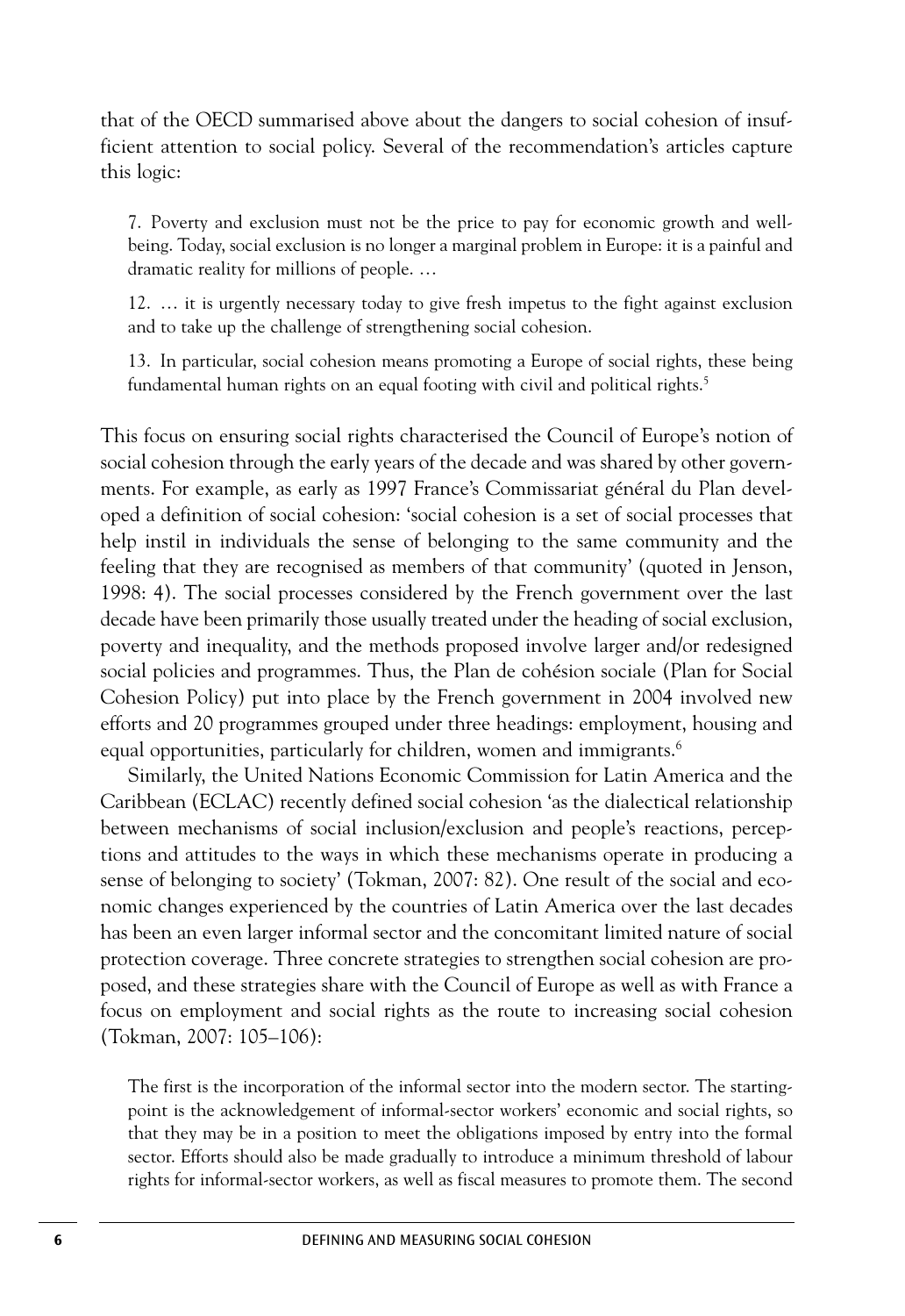that of the OECD summarised above about the dangers to social cohesion of insufficient attention to social policy. Several of the recommendation's articles capture this logic:

7. Poverty and exclusion must not be the price to pay for economic growth and wellbeing. Today, social exclusion is no longer a marginal problem in Europe: it is a painful and dramatic reality for millions of people. …

12. … it is urgently necessary today to give fresh impetus to the fight against exclusion and to take up the challenge of strengthening social cohesion.

13. In particular, social cohesion means promoting a Europe of social rights, these being fundamental human rights on an equal footing with civil and political rights. 5

This focus on ensuring social rights characterised the Council of Europe's notion of social cohesion through the early years of the decade and was shared by other governments. For example, as early as 1997 France's Commissariat général du Plan developed a definition of social cohesion: 'social cohesion is a set of social processes that help instil in individuals the sense of belonging to the same community and the feeling that they are recognised as members of that community' (quoted in Jenson, 1998: 4). The social processes considered by the French government over the last decade have been primarily those usually treated under the heading of social exclusion, poverty and inequality, and the methods proposed involve larger and/or redesigned social policies and programmes. Thus, the Plan de cohésion sociale (Plan for Social Cohesion Policy) put into place by the French government in 2004 involved new efforts and 20 programmes grouped under three headings: employment, housing and equal opportunities, particularly for children, women and immigrants. 6

Similarly, the United Nations Economic Commission for Latin America and the Caribbean (ECLAC) recently defined social cohesion 'as the dialectical relationship between mechanisms of social inclusion/exclusion and people's reactions, perceptions and attitudes to the ways in which these mechanisms operate in producing a sense of belonging to society' (Tokman, 2007: 82). One result of the social and economic changes experienced by the countries of Latin America over the last decades has been an even larger informal sector and the concomitant limited nature of social protection coverage. Three concrete strategies to strengthen social cohesion are proposed, and these strategies share with the Council of Europe as well as with France a focus on employment and social rights as the route to increasing social cohesion (Tokman, 2007: 105–106):

The first is the incorporation of the informal sector into the modern sector. The startingpoint is the acknowledgement of informal-sector workers' economic and social rights, so that they may be in a position to meet the obligations imposed by entry into the formal sector. Efforts should also be made gradually to introduce a minimum threshold of labour rights for informal-sector workers, as well as fiscal measures to promote them. The second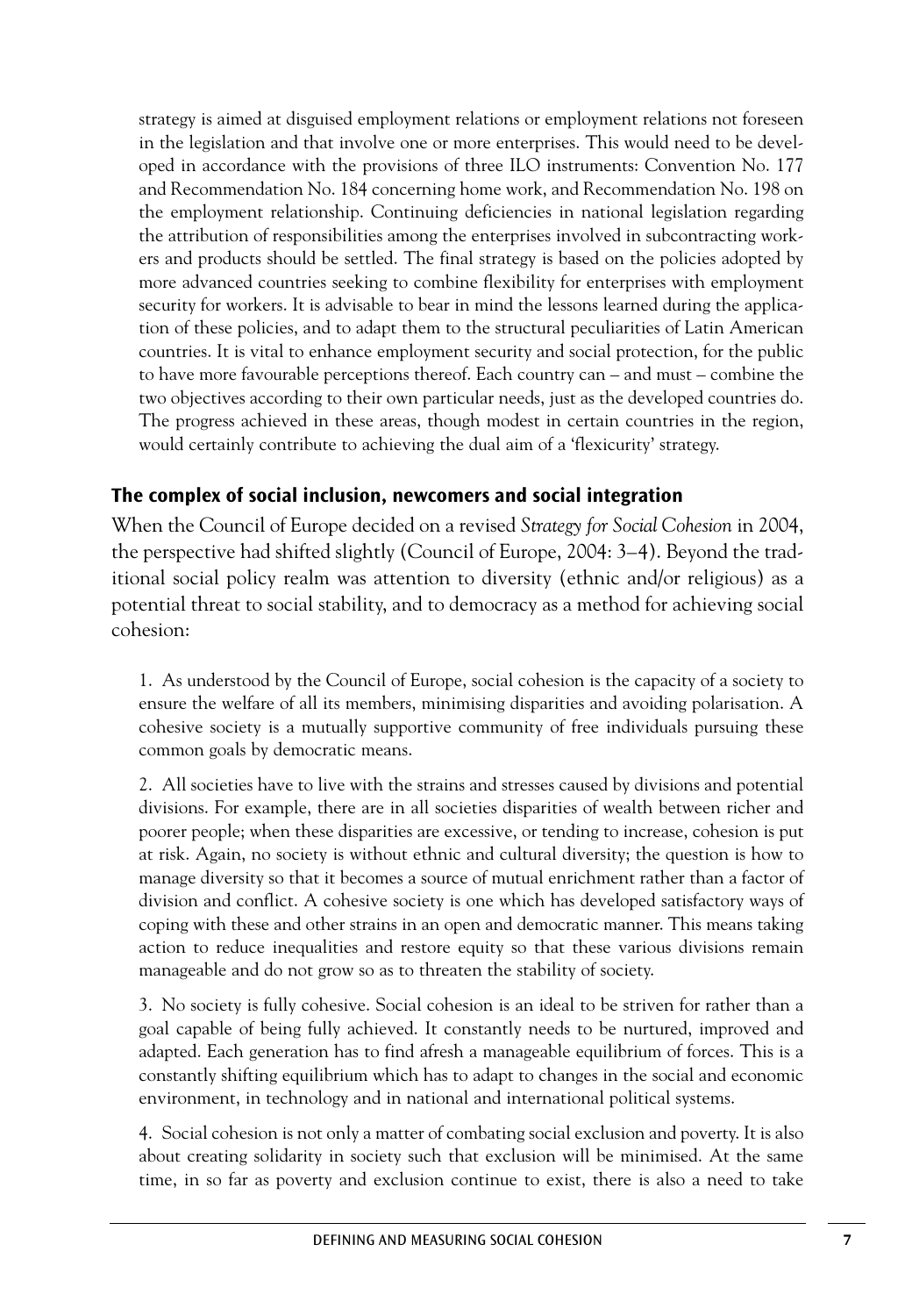strategy is aimed at disguised employment relations or employment relations not foreseen in the legislation and that involve one or more enterprises. This would need to be developed in accordance with the provisions of three ILO instruments: Convention No. 177 and Recommendation No. 184 concerning home work, and Recommendation No. 198 on the employment relationship. Continuing deficiencies in national legislation regarding the attribution of responsibilities among the enterprises involved in subcontracting workers and products should be settled. The final strategy is based on the policies adopted by more advanced countries seeking to combine flexibility for enterprises with employment security for workers. It is advisable to bear in mind the lessons learned during the application of these policies, and to adapt them to the structural peculiarities of Latin American countries. It is vital to enhance employment security and social protection, for the public to have more favourable perceptions thereof. Each country can – and must – combine the two objectives according to their own particular needs, just as the developed countries do. The progress achieved in these areas, though modest in certain countries in the region, would certainly contribute to achieving the dual aim of a 'flexicurity' strategy.

### **The complex of social inclusion, newcomers and social integration**

When the Council of Europe decided on a revised *Strategy for Social Cohesion* in 2004, the perspective had shifted slightly (Council of Europe, 2004: 3–4). Beyond the traditional social policy realm was attention to diversity (ethnic and/or religious) as a potential threat to social stability, and to democracy as a method for achieving social cohesion:

1. As understood by the Council of Europe, social cohesion is the capacity of a society to ensure the welfare of all its members, minimising disparities and avoiding polarisation. A cohesive society is a mutually supportive community of free individuals pursuing these common goals by democratic means.

2. All societies have to live with the strains and stresses caused by divisions and potential divisions. For example, there are in all societies disparities of wealth between richer and poorer people; when these disparities are excessive, or tending to increase, cohesion is put at risk. Again, no society is without ethnic and cultural diversity; the question is how to manage diversity so that it becomes a source of mutual enrichment rather than a factor of division and conflict. A cohesive society is one which has developed satisfactory ways of coping with these and other strains in an open and democratic manner. This means taking action to reduce inequalities and restore equity so that these various divisions remain manageable and do not grow so as to threaten the stability of society.

3. No society is fully cohesive. Social cohesion is an ideal to be striven for rather than a goal capable of being fully achieved. It constantly needs to be nurtured, improved and adapted. Each generation has to find afresh a manageable equilibrium of forces. This is a constantly shifting equilibrium which has to adapt to changes in the social and economic environment, in technology and in national and international political systems.

4. Social cohesion is not only a matter of combating social exclusion and poverty. It is also about creating solidarity in society such that exclusion will be minimised. At the same time, in so far as poverty and exclusion continue to exist, there is also a need to take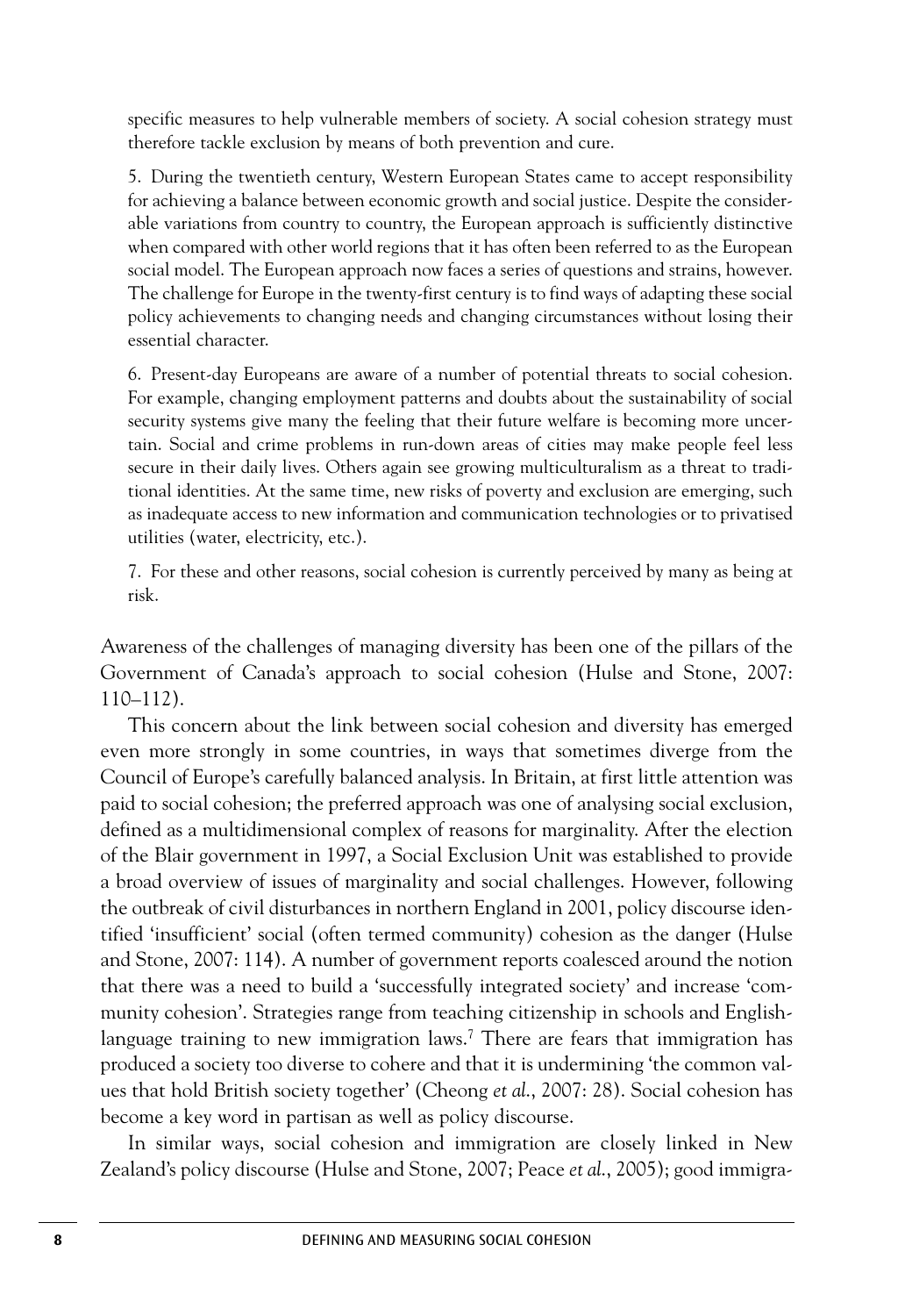specific measures to help vulnerable members of society. A social cohesion strategy must therefore tackle exclusion by means of both prevention and cure.

5. During the twentieth century, Western European States came to accept responsibility for achieving a balance between economic growth and social justice. Despite the considerable variations from country to country, the European approach is sufficiently distinctive when compared with other world regions that it has often been referred to as the European social model. The European approach now faces a series of questions and strains, however. The challenge for Europe in the twenty-first century is to find ways of adapting these social policy achievements to changing needs and changing circumstances without losing their essential character.

6. Present-day Europeans are aware of a number of potential threats to social cohesion. For example, changing employment patterns and doubts about the sustainability of social security systems give many the feeling that their future welfare is becoming more uncertain. Social and crime problems in run-down areas of cities may make people feel less secure in their daily lives. Others again see growing multiculturalism as a threat to traditional identities. At the same time, new risks of poverty and exclusion are emerging, such as inadequate access to new information and communication technologies or to privatised utilities (water, electricity, etc.).

7. For these and other reasons, social cohesion is currently perceived by many as being at risk.

Awareness of the challenges of managing diversity has been one of the pillars of the Government of Canada's approach to social cohesion (Hulse and Stone, 2007: 110–112).

This concern about the link between social cohesion and diversity has emerged even more strongly in some countries, in ways that sometimes diverge from the Council of Europe's carefully balanced analysis. In Britain, at first little attention was paid to social cohesion; the preferred approach was one of analysing social exclusion, defined as a multidimensional complex of reasons for marginality. After the election of the Blair government in 1997, a Social Exclusion Unit was established to provide a broad overview of issues of marginality and social challenges. However, following the outbreak of civil disturbances in northern England in 2001, policy discourse identified 'insufficient' social (often termed community) cohesion as the danger (Hulse and Stone, 2007: 114). A number of government reports coalesced around the notion that there was a need to build a 'successfully integrated society' and increase 'community cohesion'. Strategies range from teaching citizenship in schools and Englishlanguage training to new immigration laws.<sup>7</sup> There are fears that immigration has produced a society too diverse to cohere and that it is undermining 'the common values that hold British society together' (Cheong *et al*., 2007: 28). Social cohesion has become a key word in partisan as well as policy discourse.

In similar ways, social cohesion and immigration are closely linked in New Zealand's policy discourse (Hulse and Stone, 2007; Peace *et al*., 2005); good immigra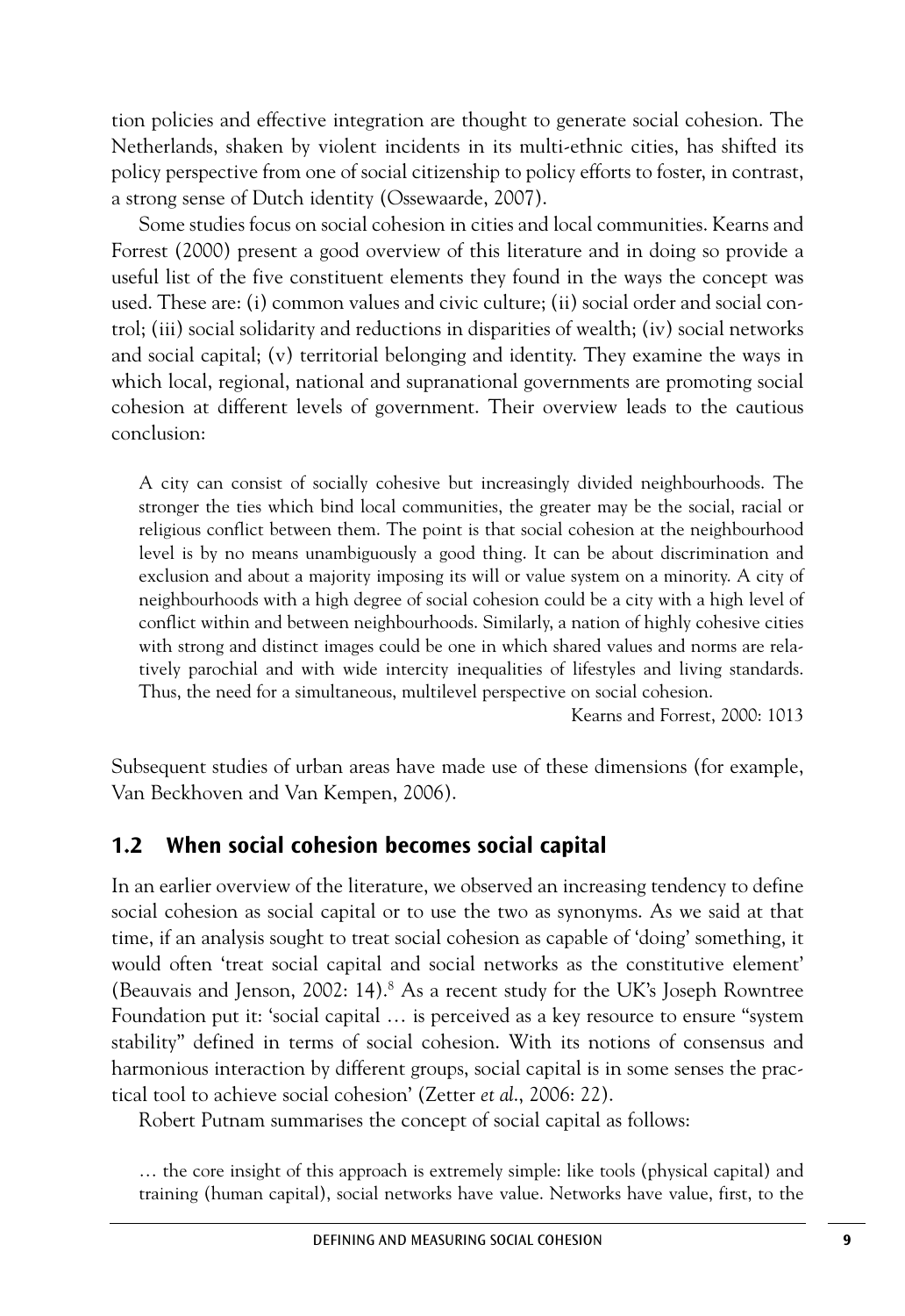tion policies and effective integration are thought to generate social cohesion. The Netherlands, shaken by violent incidents in its multi-ethnic cities, has shifted its policy perspective from one of social citizenship to policy efforts to foster, in contrast, a strong sense of Dutch identity (Ossewaarde, 2007).

Some studies focus on social cohesion in cities and local communities. Kearns and Forrest (2000) present a good overview of this literature and in doing so provide a useful list of the five constituent elements they found in the ways the concept was used. These are: (i) common values and civic culture; (ii) social order and social control; (iii) social solidarity and reductions in disparities of wealth; (iv) social networks and social capital; (v) territorial belonging and identity. They examine the ways in which local, regional, national and supranational governments are promoting social cohesion at different levels of government. Their overview leads to the cautious conclusion:

A city can consist of socially cohesive but increasingly divided neighbourhoods. The stronger the ties which bind local communities, the greater may be the social, racial or religious conflict between them. The point is that social cohesion at the neighbourhood level is by no means unambiguously a good thing. It can be about discrimination and exclusion and about a majority imposing its will or value system on a minority. A city of neighbourhoods with a high degree of social cohesion could be a city with a high level of conflict within and between neighbourhoods. Similarly, a nation of highly cohesive cities with strong and distinct images could be one in which shared values and norms are relatively parochial and with wide intercity inequalities of lifestyles and living standards. Thus, the need for a simultaneous, multilevel perspective on social cohesion.

Kearns and Forrest, 2000: 1013

Subsequent studies of urban areas have made use of these dimensions (for example, Van Beckhoven and Van Kempen, 2006).

### **1.2 When social cohesion becomes social capital**

In an earlier overview of the literature, we observed an increasing tendency to define social cohesion as social capital or to use the two as synonyms. As we said at that time, if an analysis sought to treat social cohesion as capable of 'doing' something, it would often 'treat social capital and social networks as the constitutive element' (Beauvais and Jenson, 2002: 14). <sup>8</sup> As a recent study for the UK's Joseph Rowntree Foundation put it: 'social capital … is perceived as a key resource to ensure "system stability" defined in terms of social cohesion. With its notions of consensus and harmonious interaction by different groups, social capital is in some senses the practical tool to achieve social cohesion' (Zetter *et al*., 2006: 22).

Robert Putnam summarises the concept of social capital as follows:

… the core insight of this approach is extremely simple: like tools (physical capital) and training (human capital), social networks have value. Networks have value, first, to the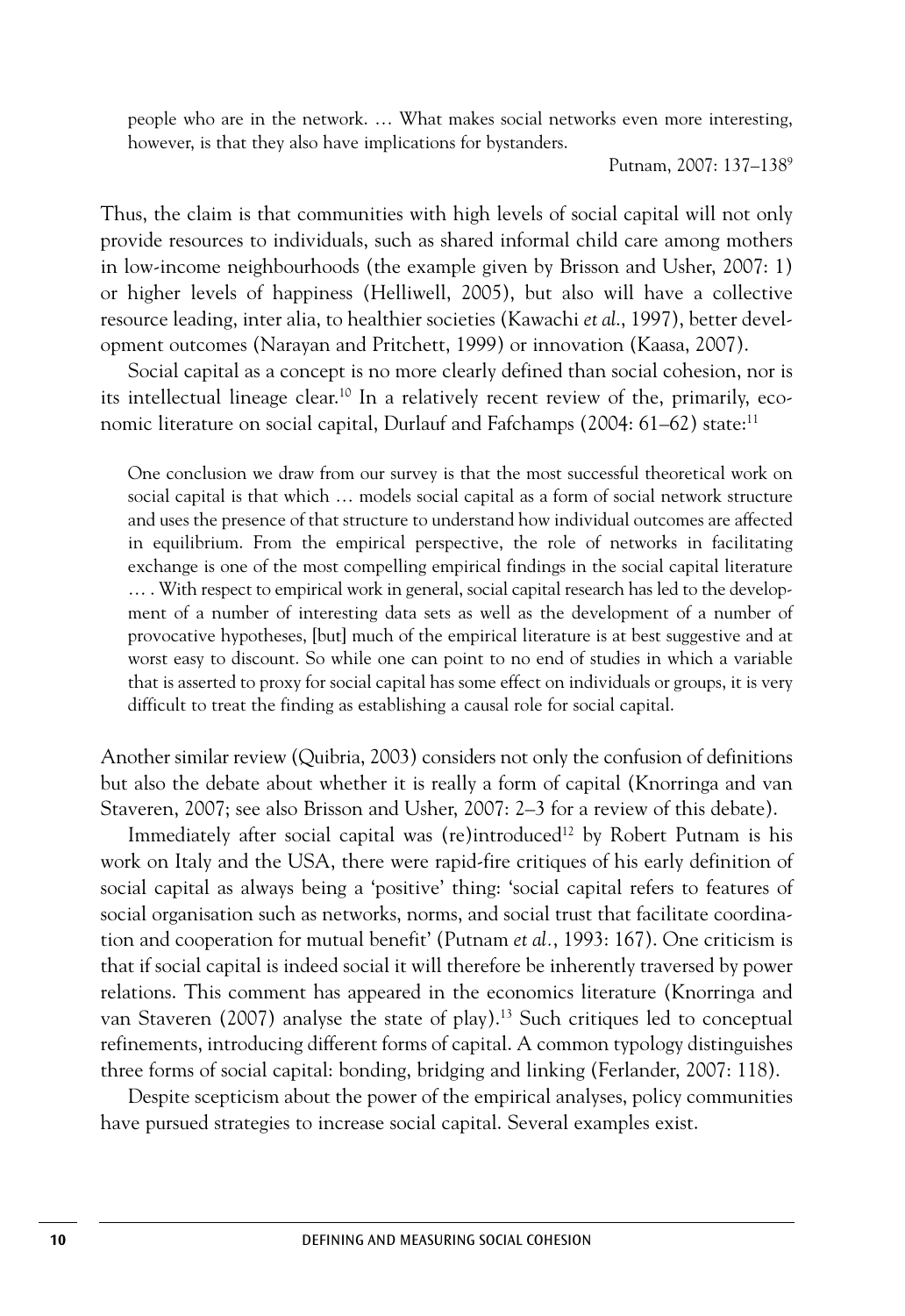people who are in the network. … What makes social networks even more interesting, however, is that they also have implications for bystanders.

Putnam, 2007: 137–1389

Thus, the claim is that communities with high levels of social capital will not only provide resources to individuals, such as shared informal child care among mothers in low-income neighbourhoods (the example given by Brisson and Usher, 2007: 1) or higher levels of happiness (Helliwell, 2005), but also will have a collective resource leading, inter alia, to healthier societies (Kawachi *et al*., 1997), better development outcomes (Narayan and Pritchett, 1999) or innovation (Kaasa, 2007).

Social capital as a concept is no more clearly defined than social cohesion, nor is its intellectual lineage clear. <sup>10</sup> In a relatively recent review of the, primarily, economic literature on social capital, Durlauf and Fafchamps (2004: 61–62) state:<sup>11</sup>

One conclusion we draw from our survey is that the most successful theoretical work on social capital is that which … models social capital as a form of social network structure and uses the presence of that structure to understand how individual outcomes are affected in equilibrium. From the empirical perspective, the role of networks in facilitating exchange is one of the most compelling empirical findings in the social capital literature … . With respect to empirical work in general, social capital research has led to the development of a number of interesting data sets as well as the development of a number of provocative hypotheses, [but] much of the empirical literature is at best suggestive and at worst easy to discount. So while one can point to no end of studies in which a variable that is asserted to proxy for social capital has some effect on individuals or groups, it is very difficult to treat the finding as establishing a causal role for social capital.

Another similar review (Quibria, 2003) considers not only the confusion of definitions but also the debate about whether it is really a form of capital (Knorringa and van Staveren, 2007; see also Brisson and Usher, 2007: 2–3 for a review of this debate).

Immediately after social capital was (re)introduced<sup>12</sup> by Robert Putnam is his work on Italy and the USA, there were rapid-fire critiques of his early definition of social capital as always being a 'positive' thing: 'social capital refers to features of social organisation such as networks, norms, and social trust that facilitate coordination and cooperation for mutual benefit' (Putnam *et al.*, 1993: 167). One criticism is that if social capital is indeed social it will therefore be inherently traversed by power relations. This comment has appeared in the economics literature (Knorringa and van Staveren (2007) analyse the state of play). <sup>13</sup> Such critiques led to conceptual refinements, introducing different forms of capital. A common typology distinguishes three forms of social capital: bonding, bridging and linking (Ferlander, 2007: 118).

Despite scepticism about the power of the empirical analyses, policy communities have pursued strategies to increase social capital. Several examples exist.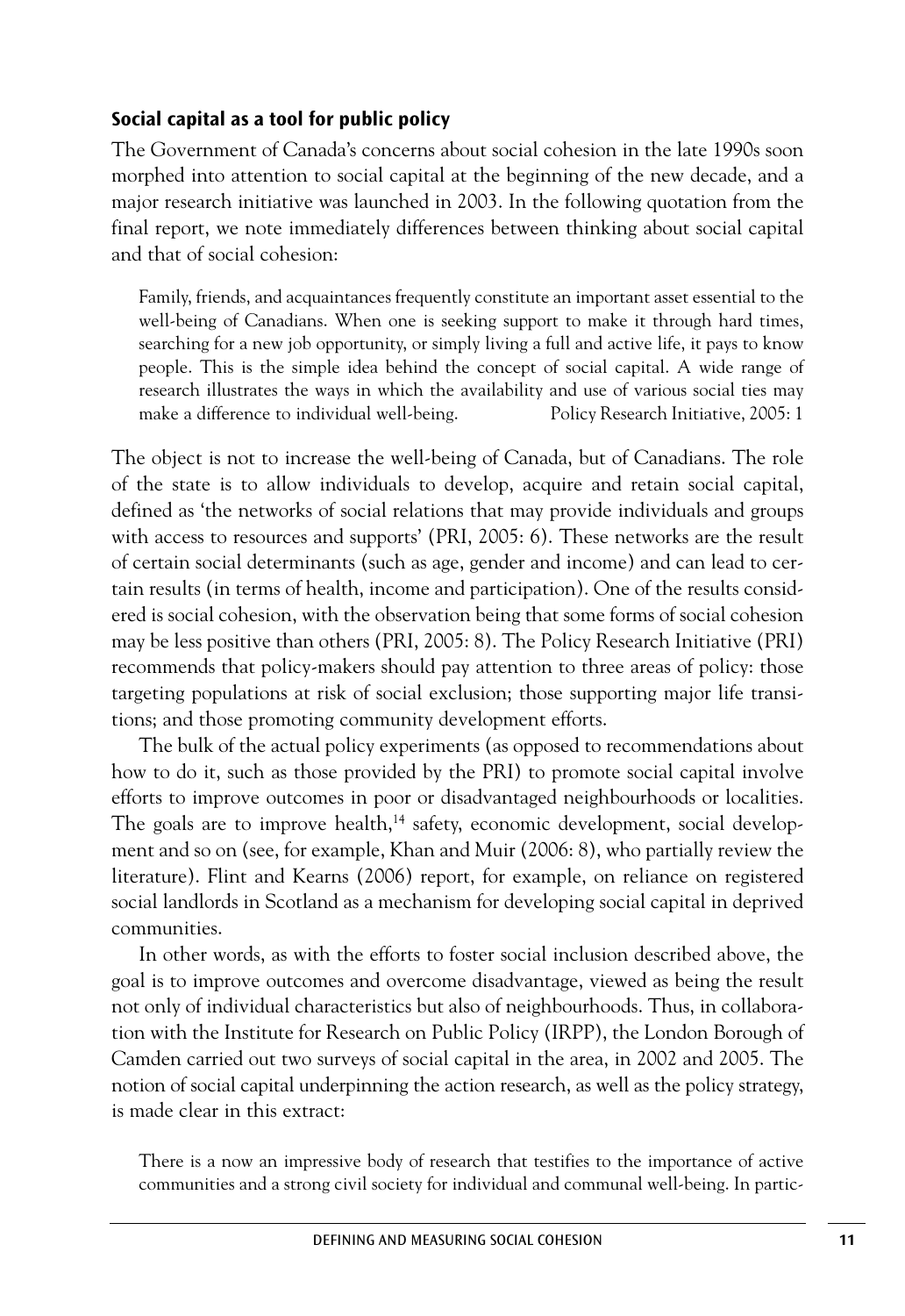### **Social capital as a tool for public policy**

The Government of Canada's concerns about social cohesion in the late 1990s soon morphed into attention to social capital at the beginning of the new decade, and a major research initiative was launched in 2003. In the following quotation from the final report, we note immediately differences between thinking about social capital and that of social cohesion:

Family, friends, and acquaintances frequently constitute an important asset essential to the well-being of Canadians. When one is seeking support to make it through hard times, searching for a new job opportunity, or simply living a full and active life, it pays to know people. This is the simple idea behind the concept of social capital. A wide range of research illustrates the ways in which the availability and use of various social ties may make a difference to individual well-being. Policy Research Initiative, 2005: 1

The object is not to increase the well-being of Canada, but of Canadians. The role of the state is to allow individuals to develop, acquire and retain social capital, defined as 'the networks of social relations that may provide individuals and groups with access to resources and supports' (PRI, 2005: 6). These networks are the result of certain social determinants (such as age, gender and income) and can lead to certain results (in terms of health, income and participation). One of the results considered is social cohesion, with the observation being that some forms of social cohesion may be less positive than others (PRI, 2005: 8). The Policy Research Initiative (PRI) recommends that policy-makers should pay attention to three areas of policy: those targeting populations at risk of social exclusion; those supporting major life transitions; and those promoting community development efforts.

The bulk of the actual policy experiments (as opposed to recommendations about how to do it, such as those provided by the PRI) to promote social capital involve efforts to improve outcomes in poor or disadvantaged neighbourhoods or localities. The goals are to improve health,<sup>14</sup> safety, economic development, social development and so on (see, for example, Khan and Muir (2006: 8), who partially review the literature). Flint and Kearns (2006) report, for example, on reliance on registered social landlords in Scotland as a mechanism for developing social capital in deprived communities.

In other words, as with the efforts to foster social inclusion described above, the goal is to improve outcomes and overcome disadvantage, viewed as being the result not only of individual characteristics but also of neighbourhoods. Thus, in collaboration with the Institute for Research on Public Policy (IRPP), the London Borough of Camden carried out two surveys of social capital in the area, in 2002 and 2005. The notion of social capital underpinning the action research, as well as the policy strategy, is made clear in this extract:

There is a now an impressive body of research that testifies to the importance of active communities and a strong civil society for individual and communal well-being. In partic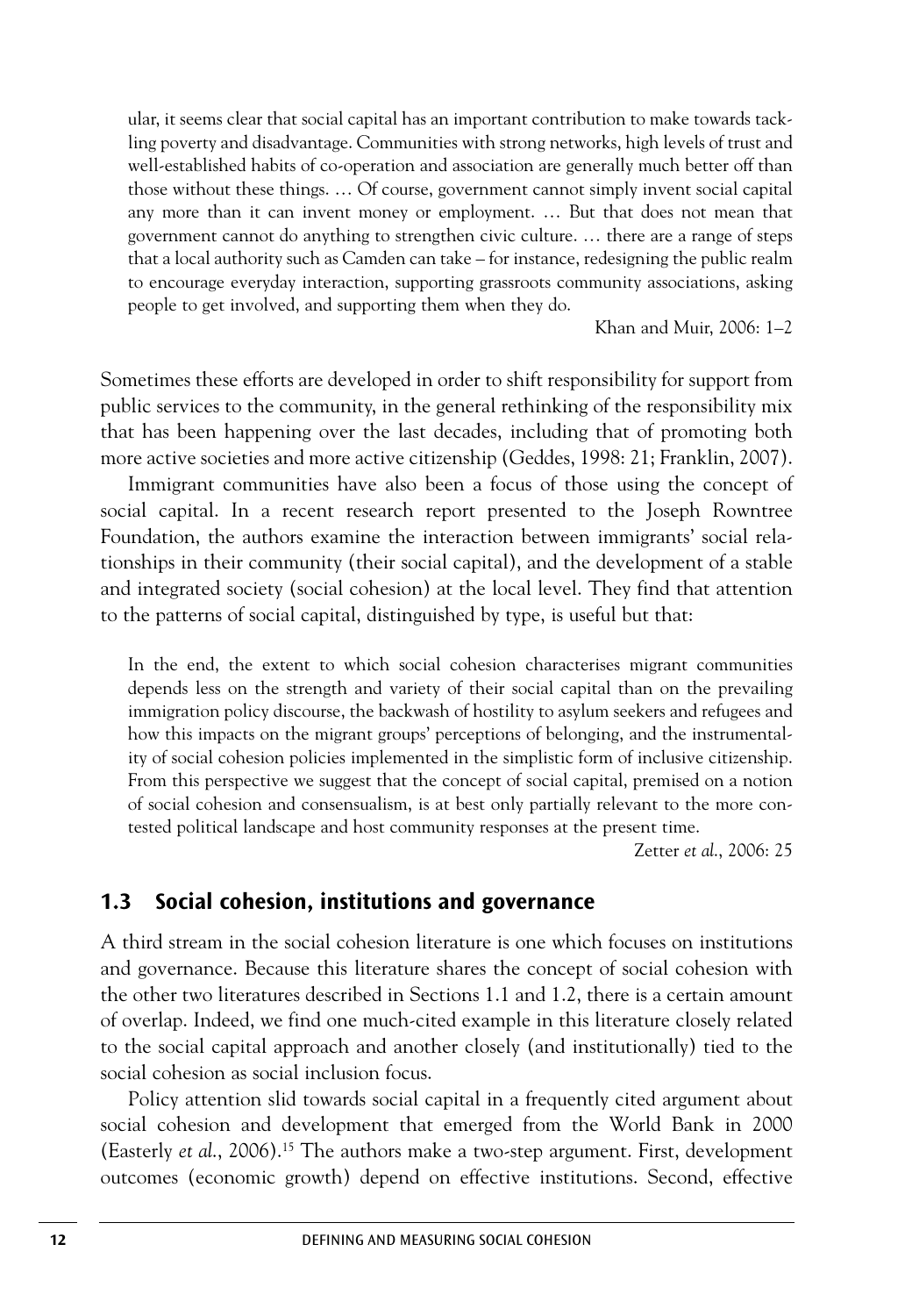ular, it seems clear that social capital has an important contribution to make towards tackling poverty and disadvantage. Communities with strong networks, high levels of trust and well-established habits of co-operation and association are generally much better off than those without these things. … Of course, government cannot simply invent social capital any more than it can invent money or employment. … But that does not mean that government cannot do anything to strengthen civic culture. … there are a range of steps that a local authority such as Camden can take – for instance, redesigning the public realm to encourage everyday interaction, supporting grassroots community associations, asking people to get involved, and supporting them when they do.

Khan and Muir, 2006: 1–2

Sometimes these efforts are developed in order to shift responsibility for support from public services to the community, in the general rethinking of the responsibility mix that has been happening over the last decades, including that of promoting both more active societies and more active citizenship (Geddes, 1998: 21; Franklin, 2007).

Immigrant communities have also been a focus of those using the concept of social capital. In a recent research report presented to the Joseph Rowntree Foundation, the authors examine the interaction between immigrants' social relationships in their community (their social capital), and the development of a stable and integrated society (social cohesion) at the local level. They find that attention to the patterns of social capital, distinguished by type, is useful but that:

In the end, the extent to which social cohesion characterises migrant communities depends less on the strength and variety of their social capital than on the prevailing immigration policy discourse, the backwash of hostility to asylum seekers and refugees and how this impacts on the migrant groups' perceptions of belonging, and the instrumentality of social cohesion policies implemented in the simplistic form of inclusive citizenship. From this perspective we suggest that the concept of social capital, premised on a notion of social cohesion and consensualism, is at best only partially relevant to the more contested political landscape and host community responses at the present time.

Zetter *et al*., 2006: 25

### **1.3 Social cohesion, institutions and governance**

A third stream in the social cohesion literature is one which focuses on institutions and governance. Because this literature shares the concept of social cohesion with the other two literatures described in Sections 1.1 and 1.2, there is a certain amount of overlap. Indeed, we find one much-cited example in this literature closely related to the social capital approach and another closely (and institutionally) tied to the social cohesion as social inclusion focus.

Policy attention slid towards social capital in a frequently cited argument about social cohesion and development that emerged from the World Bank in 2000 (Easterly *et al*., 2006). <sup>15</sup> The authors make a two-step argument. First, development outcomes (economic growth) depend on effective institutions. Second, effective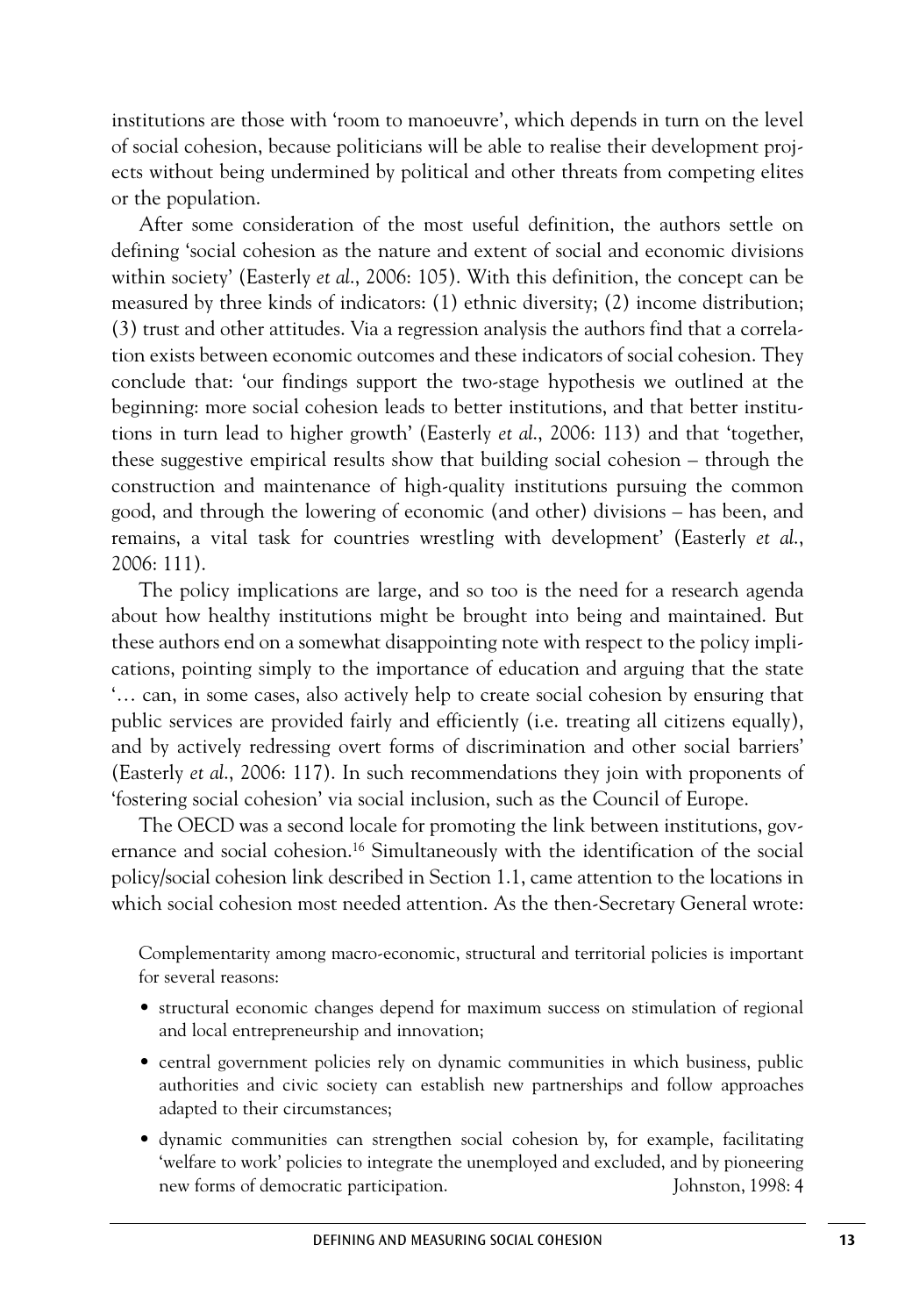institutions are those with 'room to manoeuvre', which depends in turn on the level of social cohesion, because politicians will be able to realise their development projects without being undermined by political and other threats from competing elites or the population.

After some consideration of the most useful definition, the authors settle on defining 'social cohesion as the nature and extent of social and economic divisions within society' (Easterly *et al*., 2006: 105). With this definition, the concept can be measured by three kinds of indicators: (1) ethnic diversity; (2) income distribution; (3) trust and other attitudes. Via a regression analysis the authors find that a correlation exists between economic outcomes and these indicators of social cohesion. They conclude that: 'our findings support the two-stage hypothesis we outlined at the beginning: more social cohesion leads to better institutions, and that better institutions in turn lead to higher growth' (Easterly *et al*., 2006: 113) and that 'together, these suggestive empirical results show that building social cohesion – through the construction and maintenance of high-quality institutions pursuing the common good, and through the lowering of economic (and other) divisions – has been, and remains, a vital task for countries wrestling with development' (Easterly *et al*., 2006: 111).

The policy implications are large, and so too is the need for a research agenda about how healthy institutions might be brought into being and maintained. But these authors end on a somewhat disappointing note with respect to the policy implications, pointing simply to the importance of education and arguing that the state '… can, in some cases, also actively help to create social cohesion by ensuring that public services are provided fairly and efficiently (i.e. treating all citizens equally), and by actively redressing overt forms of discrimination and other social barriers' (Easterly *et al*., 2006: 117). In such recommendations they join with proponents of 'fostering social cohesion' via social inclusion, such as the Council of Europe.

The OECD was a second locale for promoting the link between institutions, governance and social cohesion. <sup>16</sup> Simultaneously with the identification of the social policy/social cohesion link described in Section 1.1, came attention to the locations in which social cohesion most needed attention. As the then-Secretary General wrote:

Complementarity among macro-economic, structural and territorial policies is important for several reasons:

- structural economic changes depend for maximum success on stimulation of regional and local entrepreneurship and innovation;
- central government policies rely on dynamic communities in which business, public authorities and civic society can establish new partnerships and follow approaches adapted to their circumstances;
- dynamic communities can strengthen social cohesion by, for example, facilitating 'welfare to work' policies to integrate the unemployed and excluded, and by pioneering new forms of democratic participation. Johnston, 1998: 4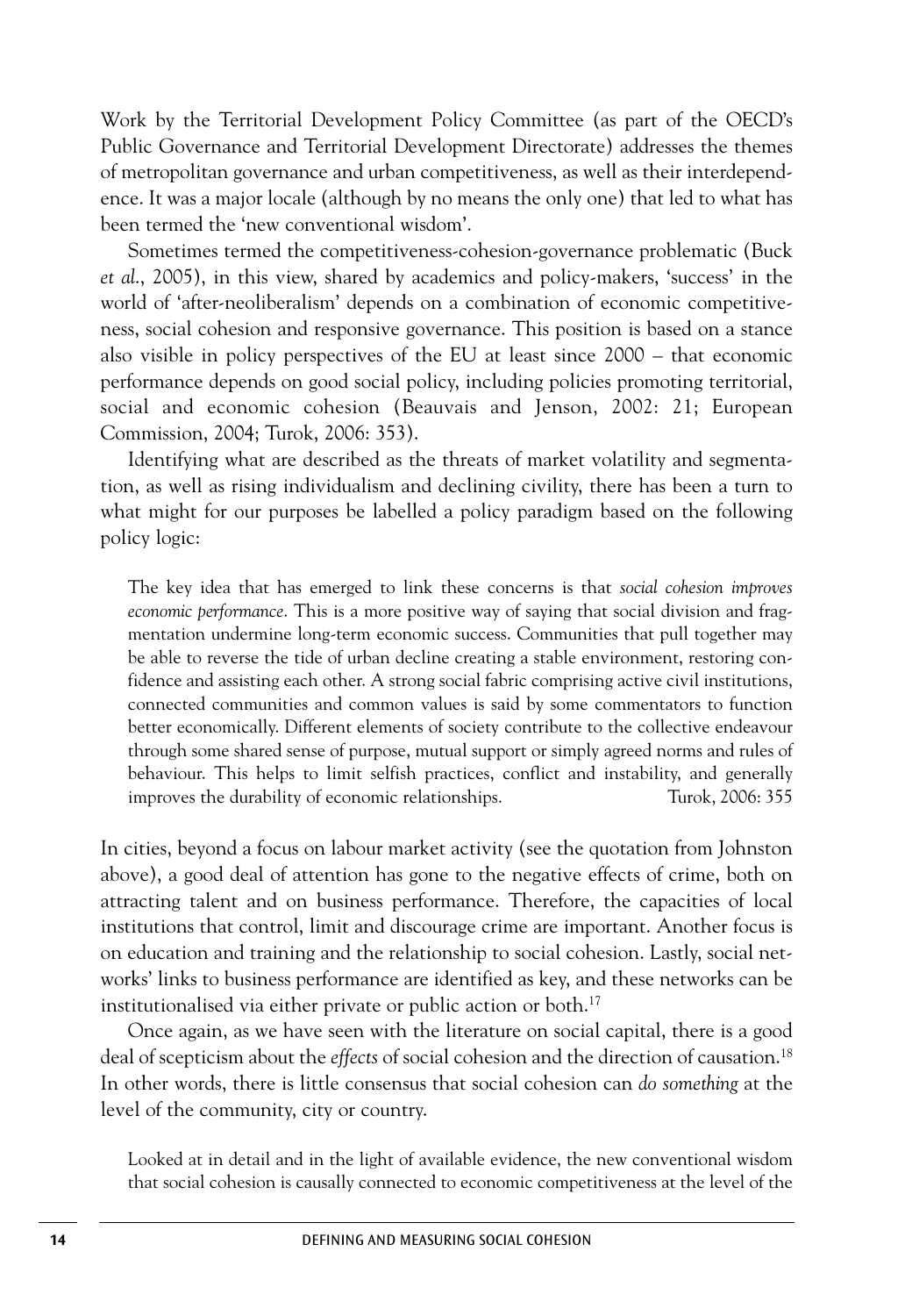Work by the Territorial Development Policy Committee (as part of the OECD's Public Governance and Territorial Development Directorate) addresses the themes of metropolitan governance and urban competitiveness, as well as their interdependence. It was a major locale (although by no means the only one) that led to what has been termed the 'new conventional wisdom'.

Sometimes termed the competitiveness-cohesion-governance problematic (Buck *et al*., 2005), in this view, shared by academics and policy-makers, 'success' in the world of 'after-neoliberalism' depends on a combination of economic competitiveness, social cohesion and responsive governance. This position is based on a stance also visible in policy perspectives of the EU at least since 2000 – that economic performance depends on good social policy, including policies promoting territorial, social and economic cohesion (Beauvais and Jenson, 2002: 21; European Commission, 2004; Turok, 2006: 353).

Identifying what are described as the threats of market volatility and segmentation, as well as rising individualism and declining civility, there has been a turn to what might for our purposes be labelled a policy paradigm based on the following policy logic:

The key idea that has emerged to link these concerns is that *social cohesion improves economic performance*. This is a more positive way of saying that social division and fragmentation undermine long-term economic success. Communities that pull together may be able to reverse the tide of urban decline creating a stable environment, restoring confidence and assisting each other. A strong social fabric comprising active civil institutions, connected communities and common values is said by some commentators to function better economically. Different elements of society contribute to the collective endeavour through some shared sense of purpose, mutual support or simply agreed norms and rules of behaviour. This helps to limit selfish practices, conflict and instability, and generally improves the durability of economic relationships. Turok, 2006: 355

In cities, beyond a focus on labour market activity (see the quotation from Johnston above), a good deal of attention has gone to the negative effects of crime, both on attracting talent and on business performance. Therefore, the capacities of local institutions that control, limit and discourage crime are important. Another focus is on education and training and the relationship to social cohesion. Lastly, social networks' links to business performance are identified as key, and these networks can be institutionalised via either private or public action or both. 17

Once again, as we have seen with the literature on social capital, there is a good deal of scepticism about the *effects* of social cohesion and the direction of causation. 18 In other words, there is little consensus that social cohesion can *do something* at the level of the community, city or country.

Looked at in detail and in the light of available evidence, the new conventional wisdom that social cohesion is causally connected to economic competitiveness at the level of the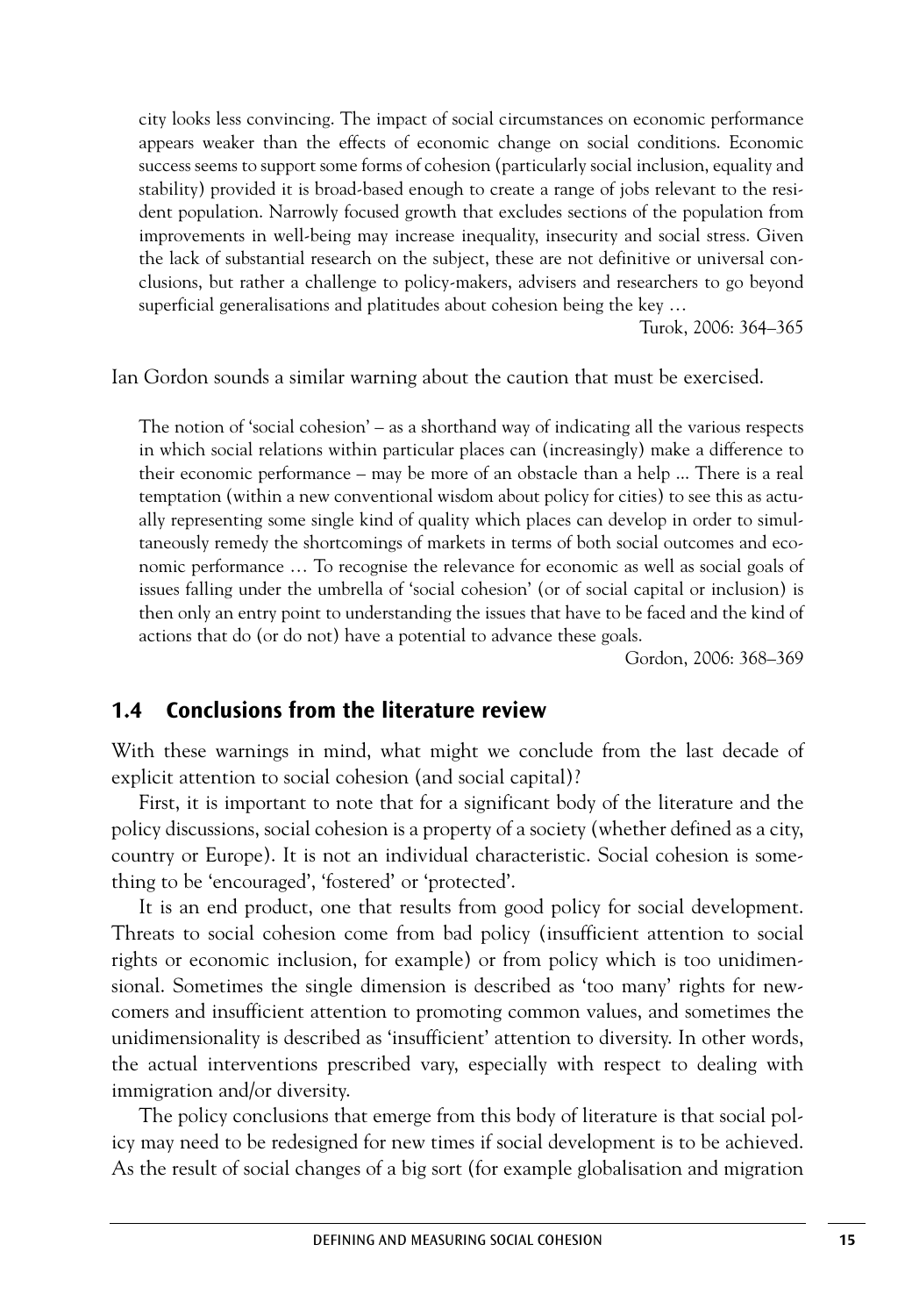city looks less convincing. The impact of social circumstances on economic performance appears weaker than the effects of economic change on social conditions. Economic success seems to support some forms of cohesion (particularly social inclusion, equality and stability) provided it is broad-based enough to create a range of jobs relevant to the resident population. Narrowly focused growth that excludes sections of the population from improvements in well-being may increase inequality, insecurity and social stress. Given the lack of substantial research on the subject, these are not definitive or universal conclusions, but rather a challenge to policy-makers, advisers and researchers to go beyond superficial generalisations and platitudes about cohesion being the key …

Turok, 2006: 364–365

Ian Gordon sounds a similar warning about the caution that must be exercised.

The notion of 'social cohesion' – as a shorthand way of indicating all the various respects in which social relations within particular places can (increasingly) make a difference to their economic performance – may be more of an obstacle than a help ... There is a real temptation (within a new conventional wisdom about policy for cities) to see this as actually representing some single kind of quality which places can develop in order to simultaneously remedy the shortcomings of markets in terms of both social outcomes and economic performance … To recognise the relevance for economic as well as social goals of issues falling under the umbrella of 'social cohesion' (or of social capital or inclusion) is then only an entry point to understanding the issues that have to be faced and the kind of actions that do (or do not) have a potential to advance these goals.

Gordon, 2006: 368–369

### **1.4 Conclusions from the literature review**

With these warnings in mind, what might we conclude from the last decade of explicit attention to social cohesion (and social capital)?

First, it is important to note that for a significant body of the literature and the policy discussions, social cohesion is a property of a society (whether defined as a city, country or Europe). It is not an individual characteristic. Social cohesion is something to be 'encouraged', 'fostered' or 'protected'.

It is an end product, one that results from good policy for social development. Threats to social cohesion come from bad policy (insufficient attention to social rights or economic inclusion, for example) or from policy which is too unidimensional. Sometimes the single dimension is described as 'too many' rights for newcomers and insufficient attention to promoting common values, and sometimes the unidimensionality is described as 'insufficient' attention to diversity. In other words, the actual interventions prescribed vary, especially with respect to dealing with immigration and/or diversity.

The policy conclusions that emerge from this body of literature is that social policy may need to be redesigned for new times if social development is to be achieved. As the result of social changes of a big sort (for example globalisation and migration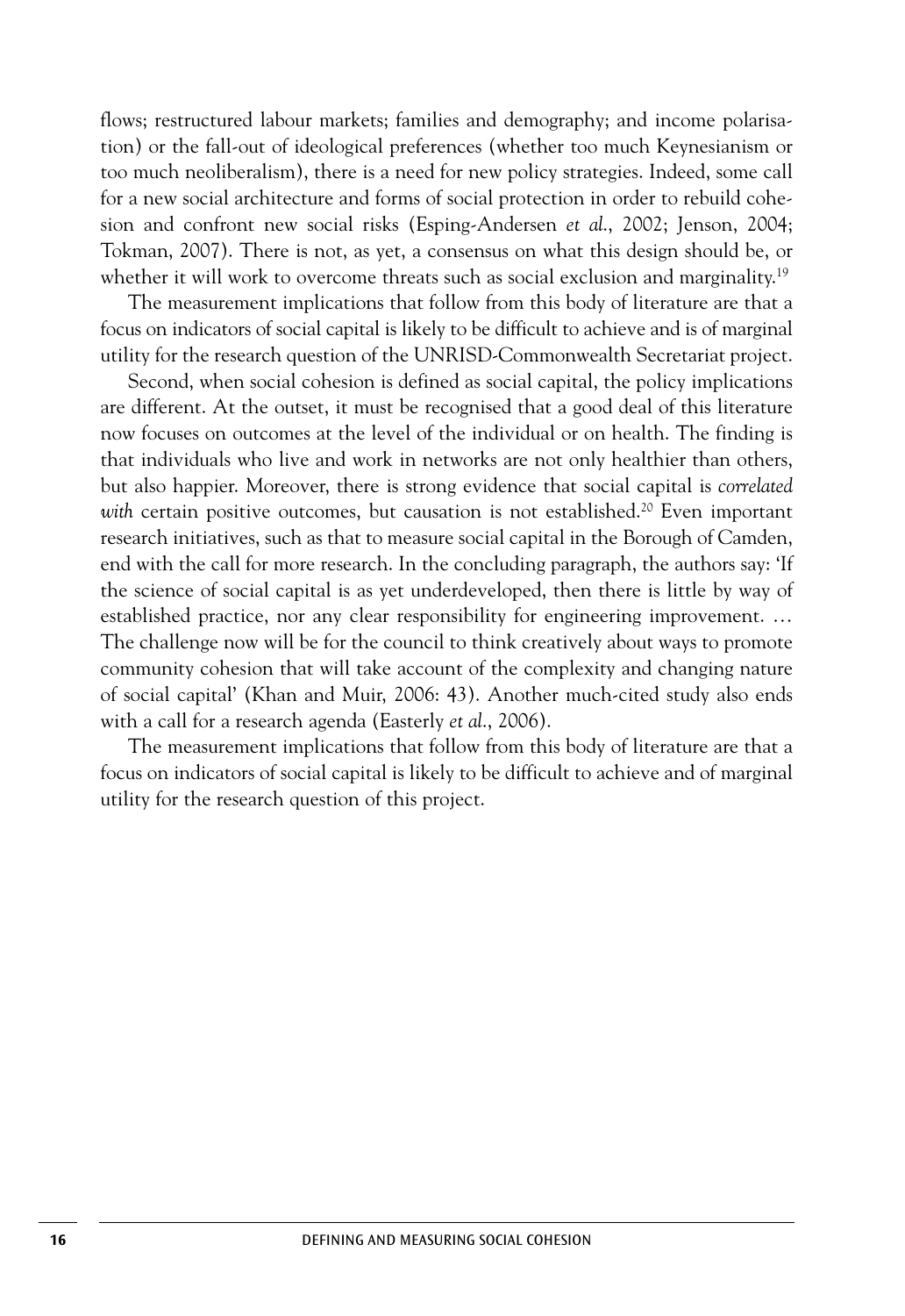flows; restructured labour markets; families and demography; and income polarisation) or the fall-out of ideological preferences (whether too much Keynesianism or too much neoliberalism), there is a need for new policy strategies. Indeed, some call for a new social architecture and forms of social protection in order to rebuild cohesion and confront new social risks (Esping-Andersen *et al*., 2002; Jenson, 2004; Tokman, 2007). There is not, as yet, a consensus on what this design should be, or whether it will work to overcome threats such as social exclusion and marginality.<sup>19</sup>

The measurement implications that follow from this body of literature are that a focus on indicators of social capital is likely to be difficult to achieve and is of marginal utility for the research question of the UNRISD-Commonwealth Secretariat project.

Second, when social cohesion is defined as social capital, the policy implications are different. At the outset, it must be recognised that a good deal of this literature now focuses on outcomes at the level of the individual or on health. The finding is that individuals who live and work in networks are not only healthier than others, but also happier. Moreover, there is strong evidence that social capital is *correlated with* certain positive outcomes, but causation is not established. <sup>20</sup> Even important research initiatives, such as that to measure social capital in the Borough of Camden, end with the call for more research. In the concluding paragraph, the authors say: 'If the science of social capital is as yet underdeveloped, then there is little by way of established practice, nor any clear responsibility for engineering improvement. … The challenge now will be for the council to think creatively about ways to promote community cohesion that will take account of the complexity and changing nature of social capital' (Khan and Muir, 2006: 43). Another much-cited study also ends with a call for a research agenda (Easterly *et al*., 2006).

The measurement implications that follow from this body of literature are that a focus on indicators of social capital is likely to be difficult to achieve and of marginal utility for the research question of this project.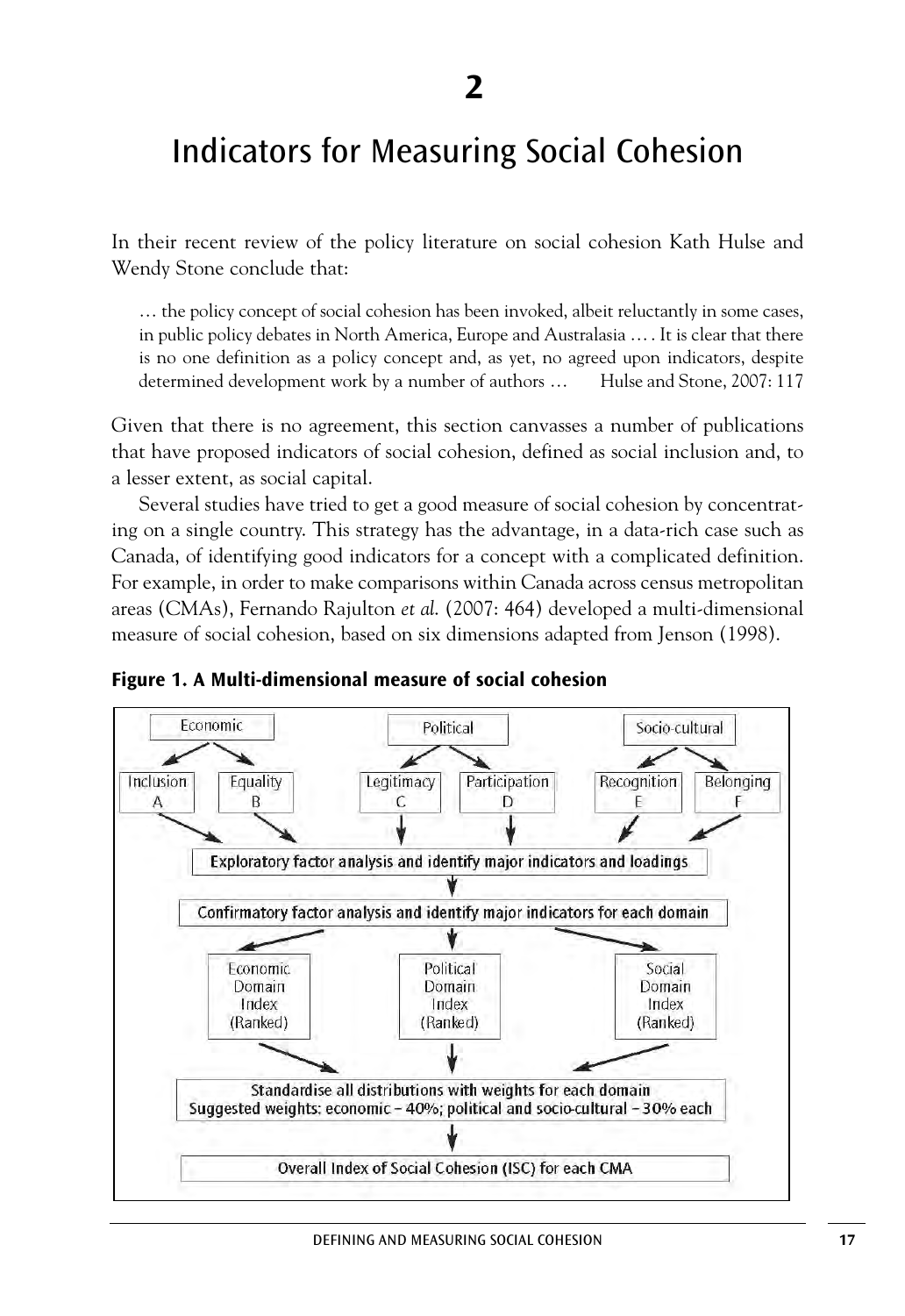### Indicators for Measuring Social Cohesion

In their recent review of the policy literature on social cohesion Kath Hulse and Wendy Stone conclude that:

… the policy concept of social cohesion has been invoked, albeit reluctantly in some cases, in public policy debates in North America, Europe and Australasia …. It is clear that there is no one definition as a policy concept and, as yet, no agreed upon indicators, despite determined development work by a number of authors … Hulse and Stone, 2007: 117

Given that there is no agreement, this section canvasses a number of publications that have proposed indicators of social cohesion, defined as social inclusion and, to a lesser extent, as social capital.

Several studies have tried to get a good measure of social cohesion by concentrating on a single country. This strategy has the advantage, in a data-rich case such as Canada, of identifying good indicators for a concept with a complicated definition. For example, in order to make comparisons within Canada across census metropolitan areas (CMAs), Fernando Rajulton *et al*. (2007: 464) developed a multi-dimensional measure of social cohesion, based on six dimensions adapted from Jenson (1998).



**Figure 1. A Multi-dimensional measure of social cohesion**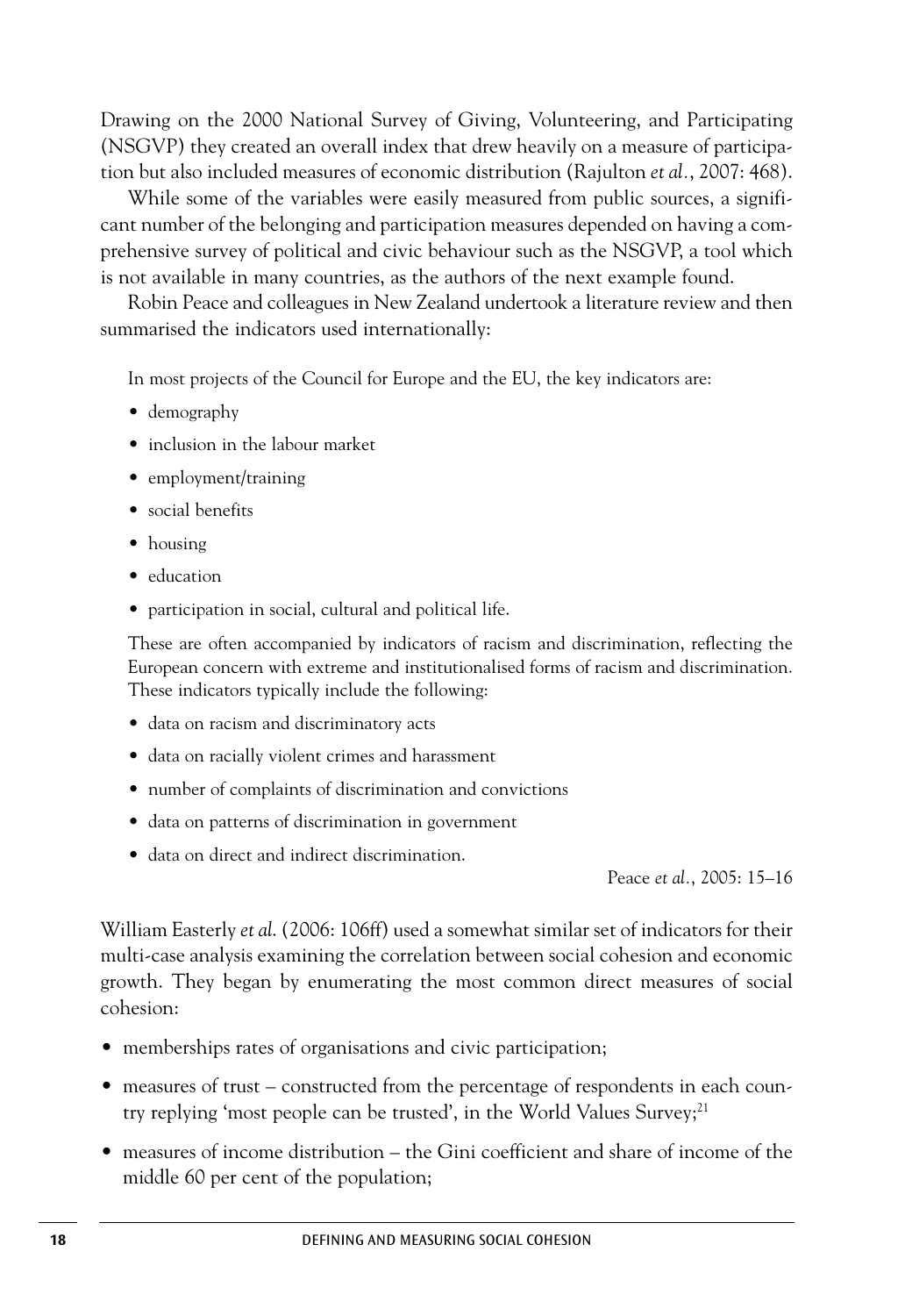Drawing on the 2000 National Survey of Giving, Volunteering, and Participating (NSGVP) they created an overall index that drew heavily on a measure of participation but also included measures of economic distribution (Rajulton *et al.*, 2007: 468).

While some of the variables were easily measured from public sources, a significant number of the belonging and participation measures depended on having a comprehensive survey of political and civic behaviour such as the NSGVP, a tool which is not available in many countries, as the authors of the next example found.

Robin Peace and colleagues in New Zealand undertook a literature review and then summarised the indicators used internationally:

In most projects of the Council for Europe and the EU, the key indicators are:

- demography
- inclusion in the labour market
- employment/training
- social benefits
- housing
- education
- participation in social, cultural and political life.

These are often accompanied by indicators of racism and discrimination, reflecting the European concern with extreme and institutionalised forms of racism and discrimination. These indicators typically include the following:

- data on racism and discriminatory acts
- data on racially violent crimes and harassment
- number of complaints of discrimination and convictions
- data on patterns of discrimination in government
- data on direct and indirect discrimination.

Peace *et al.*, 2005: 15–16

William Easterly *et al*. (2006: 106ff) used a somewhat similar set of indicators for their multi-case analysis examining the correlation between social cohesion and economic growth. They began by enumerating the most common direct measures of social cohesion:

- memberships rates of organisations and civic participation;
- measures of trust constructed from the percentage of respondents in each country replying 'most people can be trusted', in the World Values Survey; 21
- measures of income distribution the Gini coefficient and share of income of the middle 60 per cent of the population;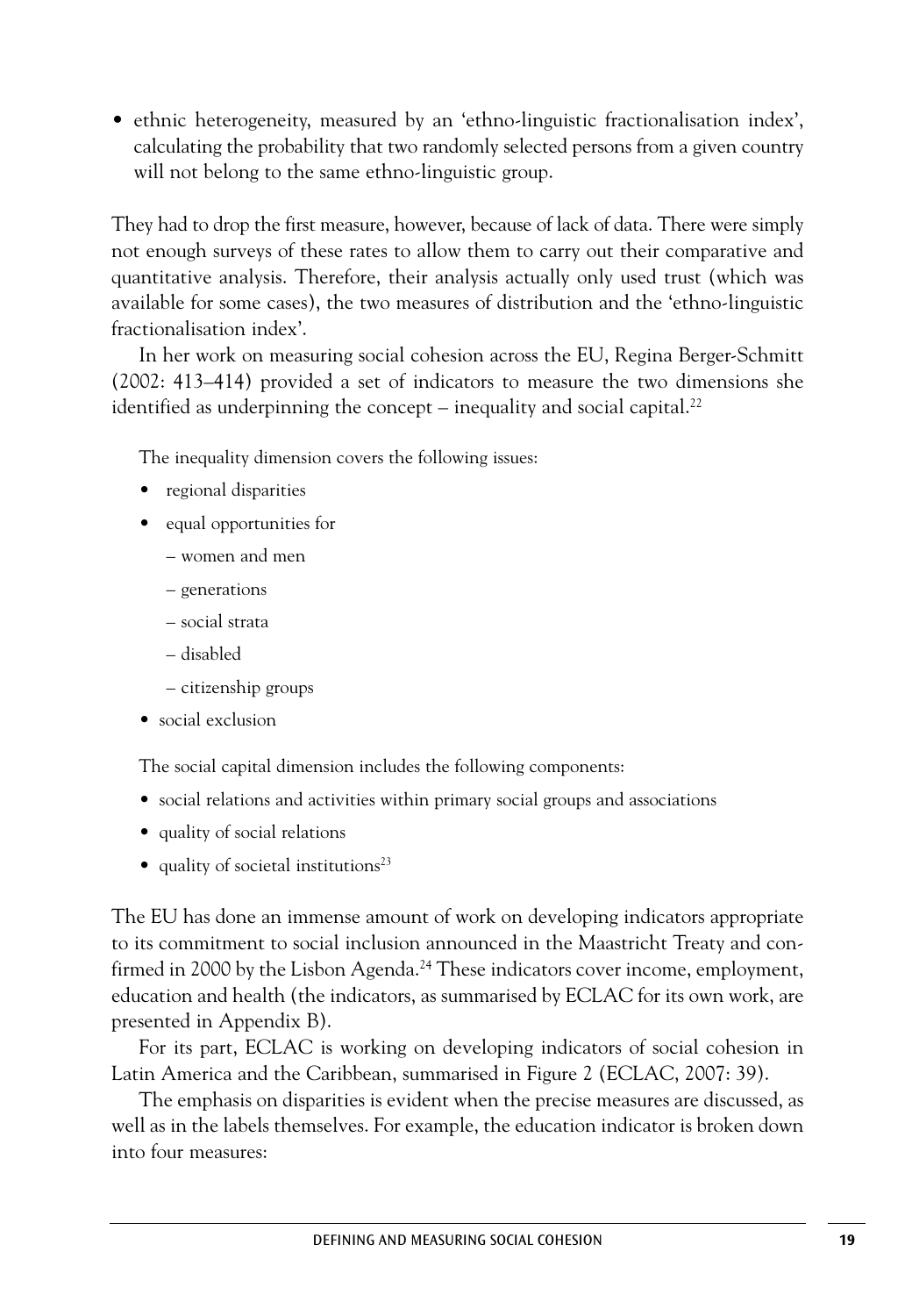• ethnic heterogeneity, measured by an 'ethno-linguistic fractionalisation index', calculating the probability that two randomly selected persons from a given country will not belong to the same ethno-linguistic group.

They had to drop the first measure, however, because of lack of data. There were simply not enough surveys of these rates to allow them to carry out their comparative and quantitative analysis. Therefore, their analysis actually only used trust (which was available for some cases), the two measures of distribution and the 'ethno-linguistic fractionalisation index'.

In her work on measuring social cohesion across the EU, Regina Berger-Schmitt (2002: 413–414) provided a set of indicators to measure the two dimensions she identified as underpinning the concept – inequality and social capital.<sup>22</sup>

The inequality dimension covers the following issues:

- regional disparities
- equal opportunities for
	- women and men
	- generations
	- social strata
	- disabled
	- citizenship groups
- social exclusion

The social capital dimension includes the following components:

- social relations and activities within primary social groups and associations
- quality of social relations
- quality of societal institutions $23$

The EU has done an immense amount of work on developing indicators appropriate to its commitment to social inclusion announced in the Maastricht Treaty and confirmed in 2000 by the Lisbon Agenda. <sup>24</sup> These indicators cover income, employment, education and health (the indicators, as summarised by ECLAC for its own work, are presented in Appendix B).

For its part, ECLAC is working on developing indicators of social cohesion in Latin America and the Caribbean, summarised in Figure 2 (ECLAC, 2007: 39).

The emphasis on disparities is evident when the precise measures are discussed, as well as in the labels themselves. For example, the education indicator is broken down into four measures: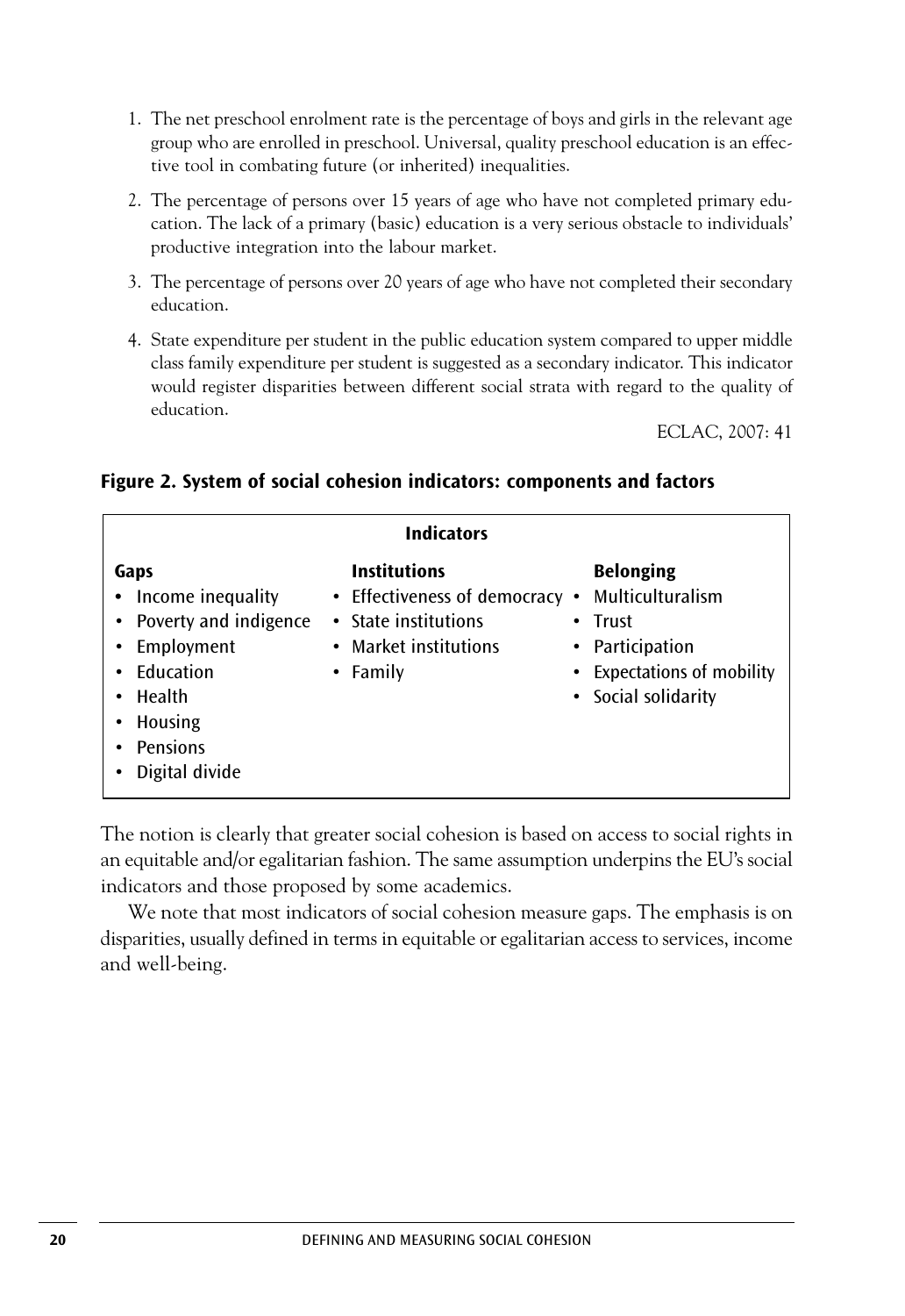- 1. The net preschool enrolment rate is the percentage of boys and girls in the relevant age group who are enrolled in preschool. Universal, quality preschool education is an effective tool in combating future (or inherited) inequalities.
- 2. The percentage of persons over 15 years of age who have not completed primary education. The lack of a primary (basic) education is a very serious obstacle to individuals' productive integration into the labour market.
- 3. The percentage of persons over 20 years of age who have not completed their secondary education.
- 4. State expenditure per student in the public education system compared to upper middle class family expenditure per student is suggested as a secondary indicator. This indicator would register disparities between different social strata with regard to the quality of education.

ECLAC, 2007: 41

| <b>Indicators</b>                                                                                                                       |                                                                                                                    |   |                                                                                                                       |  |  |  |
|-----------------------------------------------------------------------------------------------------------------------------------------|--------------------------------------------------------------------------------------------------------------------|---|-----------------------------------------------------------------------------------------------------------------------|--|--|--|
| Gaps<br>Income inequality<br>Poverty and indigence<br>Employment<br>Education<br>Health<br><b>Housing</b><br>Pensions<br>Digital divide | <b>Institutions</b><br>• Effectiveness of democracy •<br>• State institutions<br>• Market institutions<br>• Family | ٠ | <b>Belonging</b><br>Multiculturalism<br>Trust<br>• Participation<br>• Expectations of mobility<br>• Social solidarity |  |  |  |

#### **Figure 2. System of social cohesion indicators: components and factors**

The notion is clearly that greater social cohesion is based on access to social rights in an equitable and/or egalitarian fashion. The same assumption underpins the EU's social indicators and those proposed by some academics.

We note that most indicators of social cohesion measure gaps. The emphasis is on disparities, usually defined in terms in equitable or egalitarian access to services, income and well-being.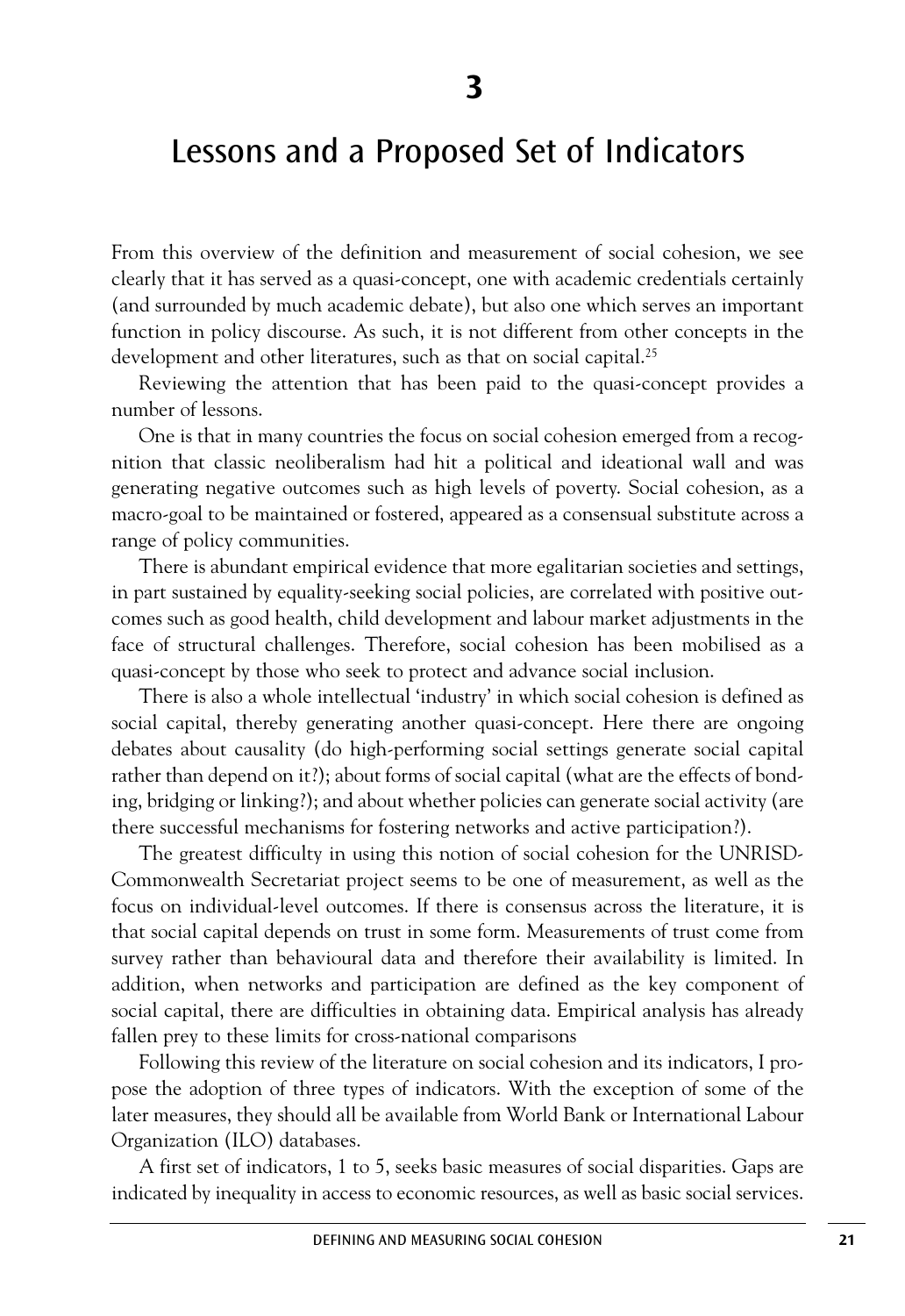### Lessons and a Proposed Set of Indicators

From this overview of the definition and measurement of social cohesion, we see clearly that it has served as a quasi-concept, one with academic credentials certainly (and surrounded by much academic debate), but also one which serves an important function in policy discourse. As such, it is not different from other concepts in the development and other literatures, such as that on social capital.<sup>25</sup>

Reviewing the attention that has been paid to the quasi-concept provides a number of lessons.

One is that in many countries the focus on social cohesion emerged from a recognition that classic neoliberalism had hit a political and ideational wall and was generating negative outcomes such as high levels of poverty. Social cohesion, as a macro-goal to be maintained or fostered, appeared as a consensual substitute across a range of policy communities.

There is abundant empirical evidence that more egalitarian societies and settings, in part sustained by equality-seeking social policies, are correlated with positive outcomes such as good health, child development and labour market adjustments in the face of structural challenges. Therefore, social cohesion has been mobilised as a quasi-concept by those who seek to protect and advance social inclusion.

There is also a whole intellectual 'industry' in which social cohesion is defined as social capital, thereby generating another quasi-concept. Here there are ongoing debates about causality (do high-performing social settings generate social capital rather than depend on it?); about forms of social capital (what are the effects of bonding, bridging or linking?); and about whether policies can generate social activity (are there successful mechanisms for fostering networks and active participation?).

The greatest difficulty in using this notion of social cohesion for the UNRISD-Commonwealth Secretariat project seems to be one of measurement, as well as the focus on individual-level outcomes. If there is consensus across the literature, it is that social capital depends on trust in some form. Measurements of trust come from survey rather than behavioural data and therefore their availability is limited. In addition, when networks and participation are defined as the key component of social capital, there are difficulties in obtaining data. Empirical analysis has already fallen prey to these limits for cross-national comparisons

Following this review of the literature on social cohesion and its indicators, I propose the adoption of three types of indicators. With the exception of some of the later measures, they should all be available from World Bank or International Labour Organization (ILO) databases.

A first set of indicators, 1 to 5, seeks basic measures of social disparities. Gaps are indicated by inequality in access to economic resources, as well as basic social services.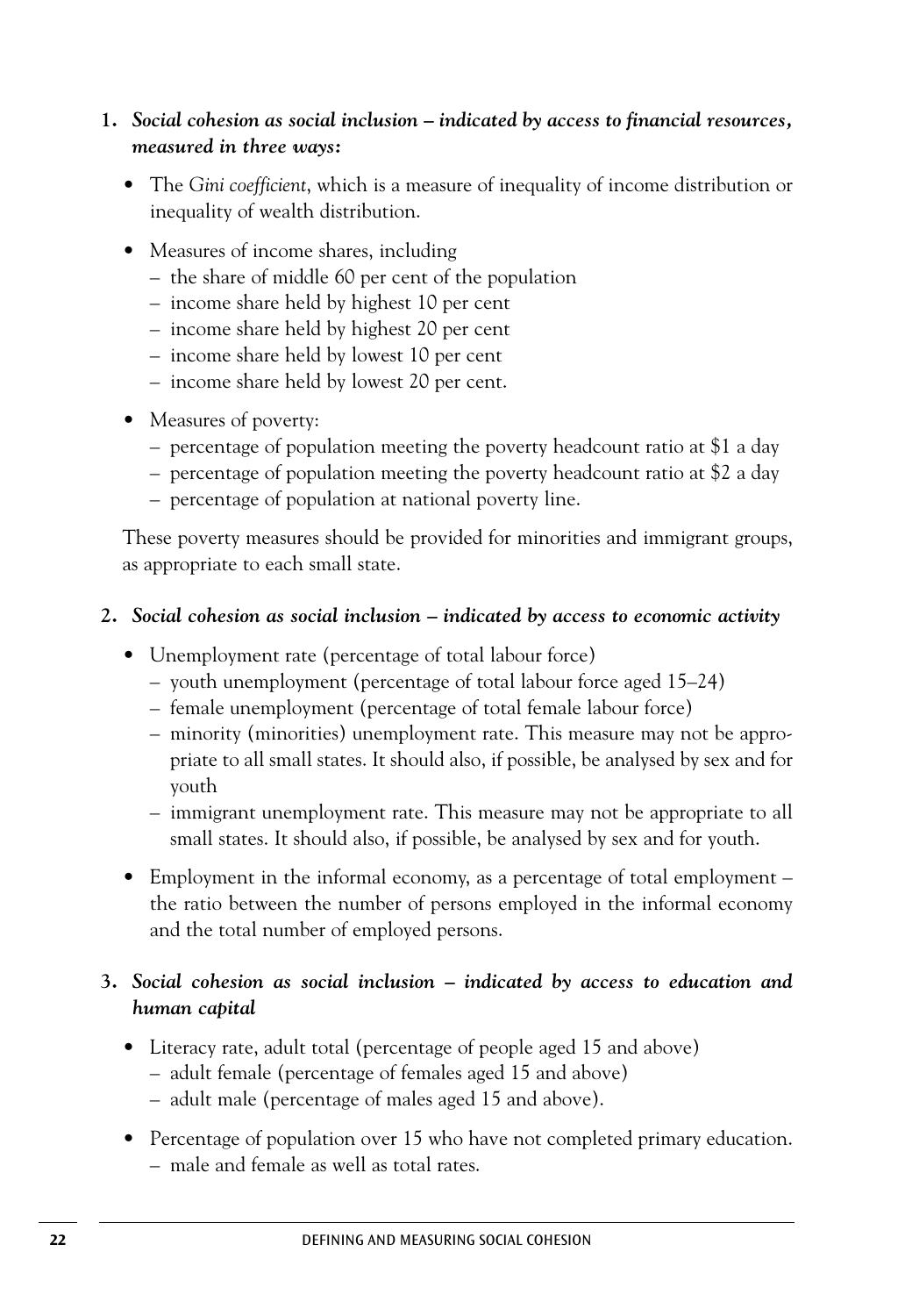### **1.** *Social cohesion as social inclusion – indicated by access to financial resources, measured in three ways:*

- The *Gini coefficient*, which is a measure of inequality of income distribution or inequality of wealth distribution.
- Measures of income shares, including
	- the share of middle 60 per cent of the population
	- income share held by highest 10 per cent
	- income share held by highest 20 per cent
	- income share held by lowest 10 per cent
	- income share held by lowest 20 per cent.
- Measures of poverty:
	- percentage of population meeting the poverty headcount ratio at \$1 a day
	- percentage of population meeting the poverty headcount ratio at \$2 a day
	- percentage of population at national poverty line.

These poverty measures should be provided for minorities and immigrant groups, as appropriate to each small state.

### **2.** *Social cohesion as social inclusion – indicated by access to economic activity*

- Unemployment rate (percentage of total labour force)
	- youth unemployment (percentage of total labour force aged 15–24)
	- female unemployment (percentage of total female labour force)
	- minority (minorities) unemployment rate. This measure may not be appropriate to all small states. It should also, if possible, be analysed by sex and for youth
	- immigrant unemployment rate. This measure may not be appropriate to all small states. It should also, if possible, be analysed by sex and for youth.
- Employment in the informal economy, as a percentage of total employment the ratio between the number of persons employed in the informal economy and the total number of employed persons.

### **3.** *Social cohesion as social inclusion – indicated by access to education and human capital*

- Literacy rate, adult total (percentage of people aged 15 and above)
	- adult female (percentage of females aged 15 and above)
	- adult male (percentage of males aged 15 and above).
- Percentage of population over 15 who have not completed primary education. – male and female as well as total rates.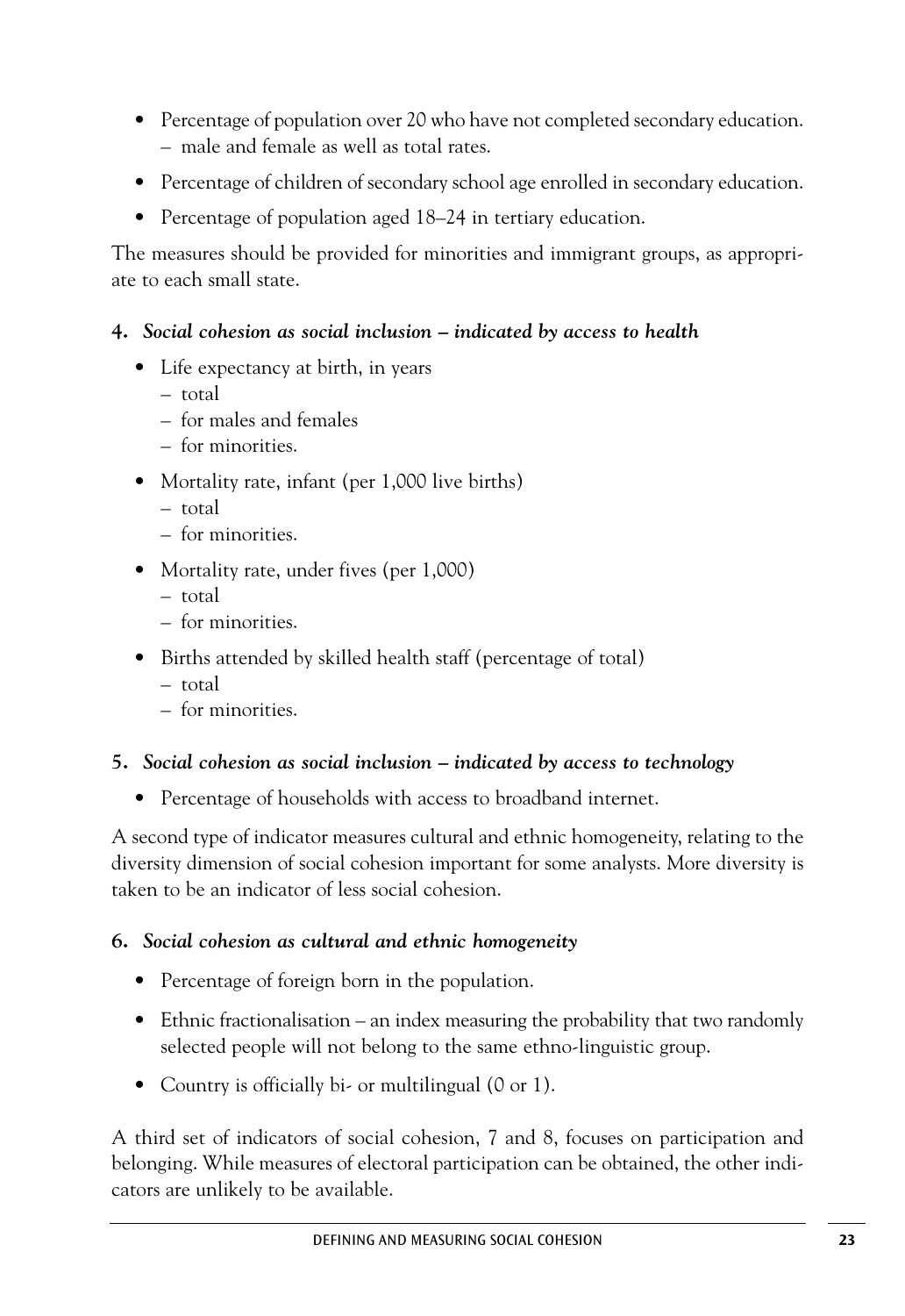- Percentage of population over 20 who have not completed secondary education. – male and female as well as total rates.
- Percentage of children of secondary school age enrolled in secondary education.
- Percentage of population aged 18–24 in tertiary education.

The measures should be provided for minorities and immigrant groups, as appropriate to each small state.

#### **4.** *Social cohesion as social inclusion – indicated by access to health*

- Life expectancy at birth, in years
	- total
	- for males and females
	- for minorities.
- Mortality rate, infant (per 1,000 live births)
	- total
	- for minorities.
- Mortality rate, under fives (per 1,000)
	- total
	- for minorities.
- Births attended by skilled health staff (percentage of total)
	- total
	- for minorities.
- **5.** *Social cohesion as social inclusion – indicated by access to technology*
	- Percentage of households with access to broadband internet.

A second type of indicator measures cultural and ethnic homogeneity, relating to the diversity dimension of social cohesion important for some analysts. More diversity is taken to be an indicator of less social cohesion.

### **6.** *Social cohesion as cultural and ethnic homogeneity*

- Percentage of foreign born in the population.
- Ethnic fractionalisation an index measuring the probability that two randomly selected people will not belong to the same ethno-linguistic group.
- Country is officially bi- or multilingual (0 or 1).

A third set of indicators of social cohesion, 7 and 8, focuses on participation and belonging. While measures of electoral participation can be obtained, the other indicators are unlikely to be available.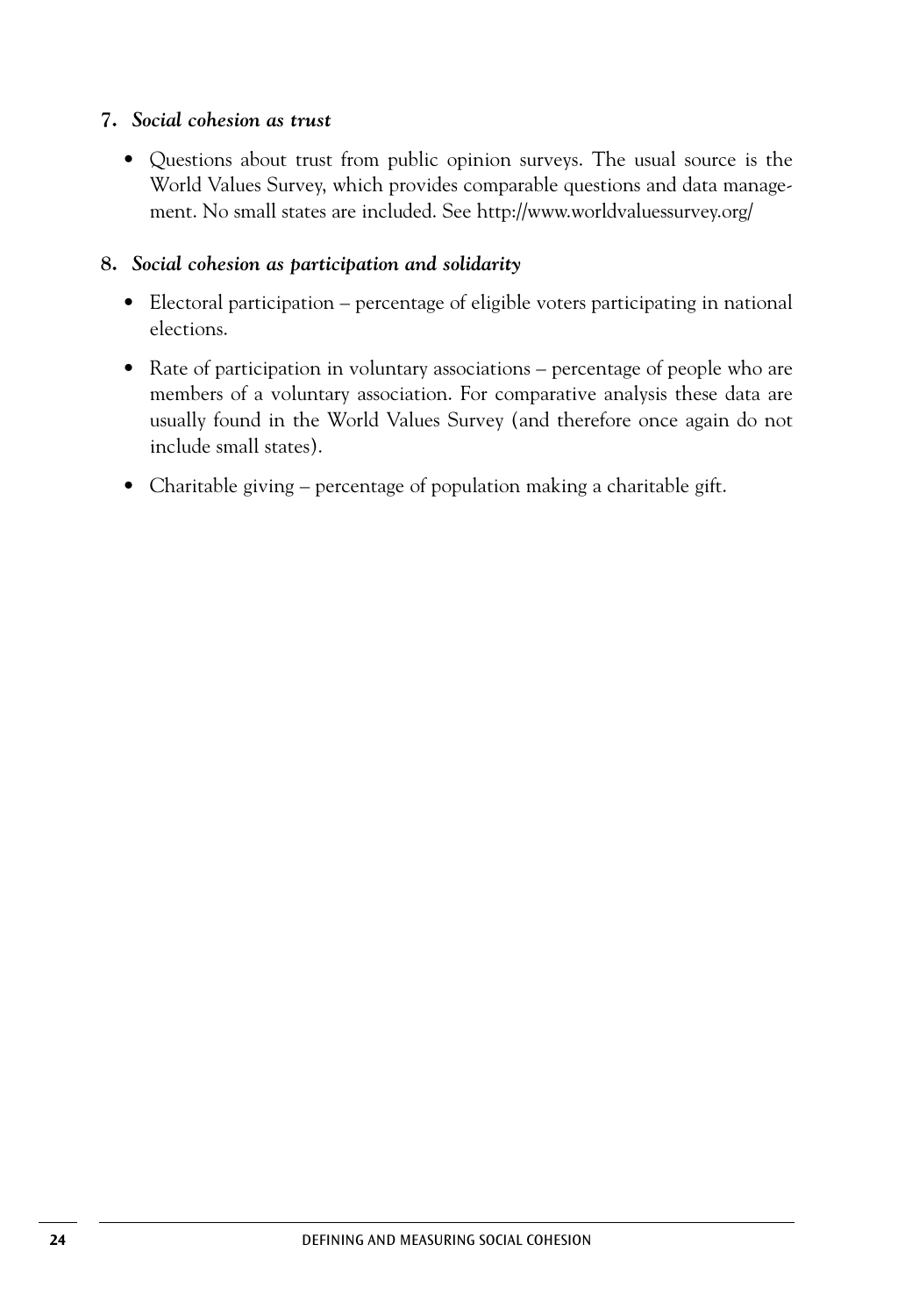#### **7.** *Social cohesion as trust*

• Questions about trust from public opinion surveys. The usual source is the World Values Survey, which provides comparable questions and data management. No small states are included. See http://www.worldvaluessurvey.org/

#### **8.** *Social cohesion as participation and solidarity*

- Electoral participation percentage of eligible voters participating in national elections.
- Rate of participation in voluntary associations percentage of people who are members of a voluntary association. For comparative analysis these data are usually found in the World Values Survey (and therefore once again do not include small states).
- Charitable giving percentage of population making a charitable gift.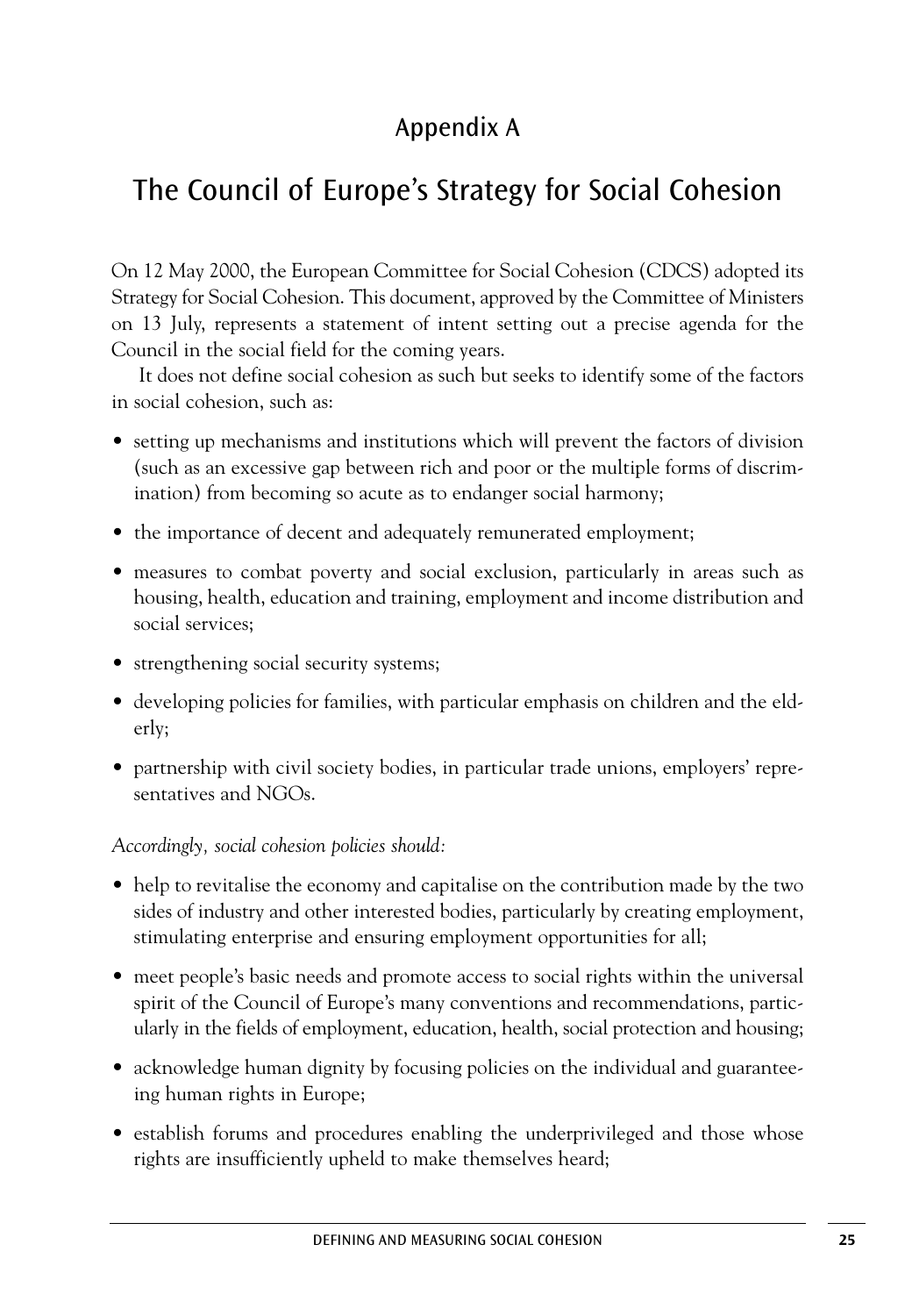### Appendix A

### The Council of Europe's Strategy for Social Cohesion

On 12 May 2000, the European Committee for Social Cohesion (CDCS) adopted its Strategy for Social Cohesion. This document, approved by the Committee of Ministers on 13 July, represents a statement of intent setting out a precise agenda for the Council in the social field for the coming years.

It does not define social cohesion as such but seeks to identify some of the factors in social cohesion, such as:

- setting up mechanisms and institutions which will prevent the factors of division (such as an excessive gap between rich and poor or the multiple forms of discrimination) from becoming so acute as to endanger social harmony;
- the importance of decent and adequately remunerated employment;
- measures to combat poverty and social exclusion, particularly in areas such as housing, health, education and training, employment and income distribution and social services;
- strengthening social security systems;
- developing policies for families, with particular emphasis on children and the elderly;
- partnership with civil society bodies, in particular trade unions, employers' representatives and NGOs.

*Accordingly, social cohesion policies should:*

- help to revitalise the economy and capitalise on the contribution made by the two sides of industry and other interested bodies, particularly by creating employment, stimulating enterprise and ensuring employment opportunities for all;
- meet people's basic needs and promote access to social rights within the universal spirit of the Council of Europe's many conventions and recommendations, particularly in the fields of employment, education, health, social protection and housing;
- acknowledge human dignity by focusing policies on the individual and guaranteeing human rights in Europe;
- establish forums and procedures enabling the underprivileged and those whose rights are insufficiently upheld to make themselves heard;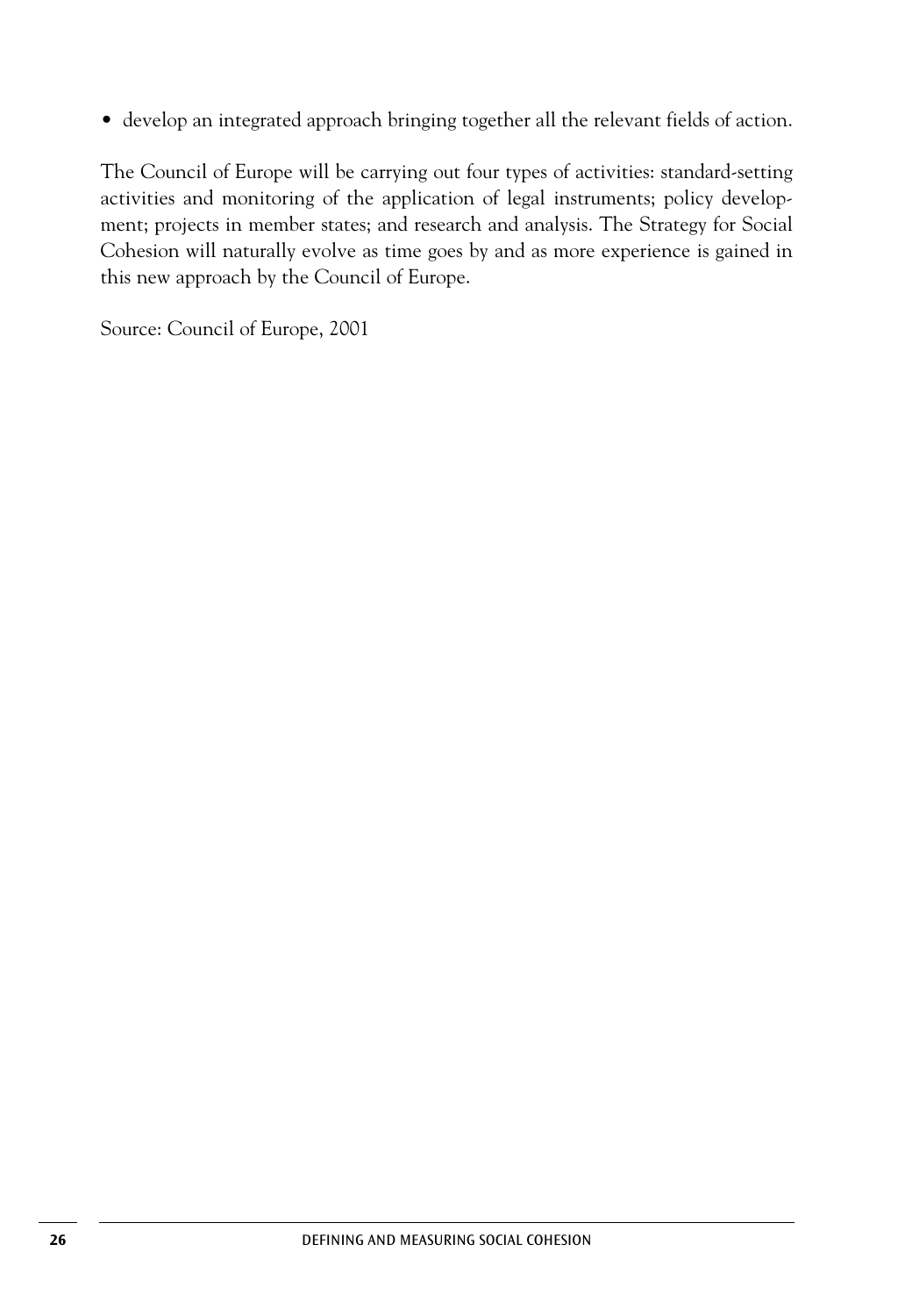• develop an integrated approach bringing together all the relevant fields of action.

The Council of Europe will be carrying out four types of activities: standard-setting activities and monitoring of the application of legal instruments; policy development; projects in member states; and research and analysis. The Strategy for Social Cohesion will naturally evolve as time goes by and as more experience is gained in this new approach by the Council of Europe.

Source: Council of Europe, 2001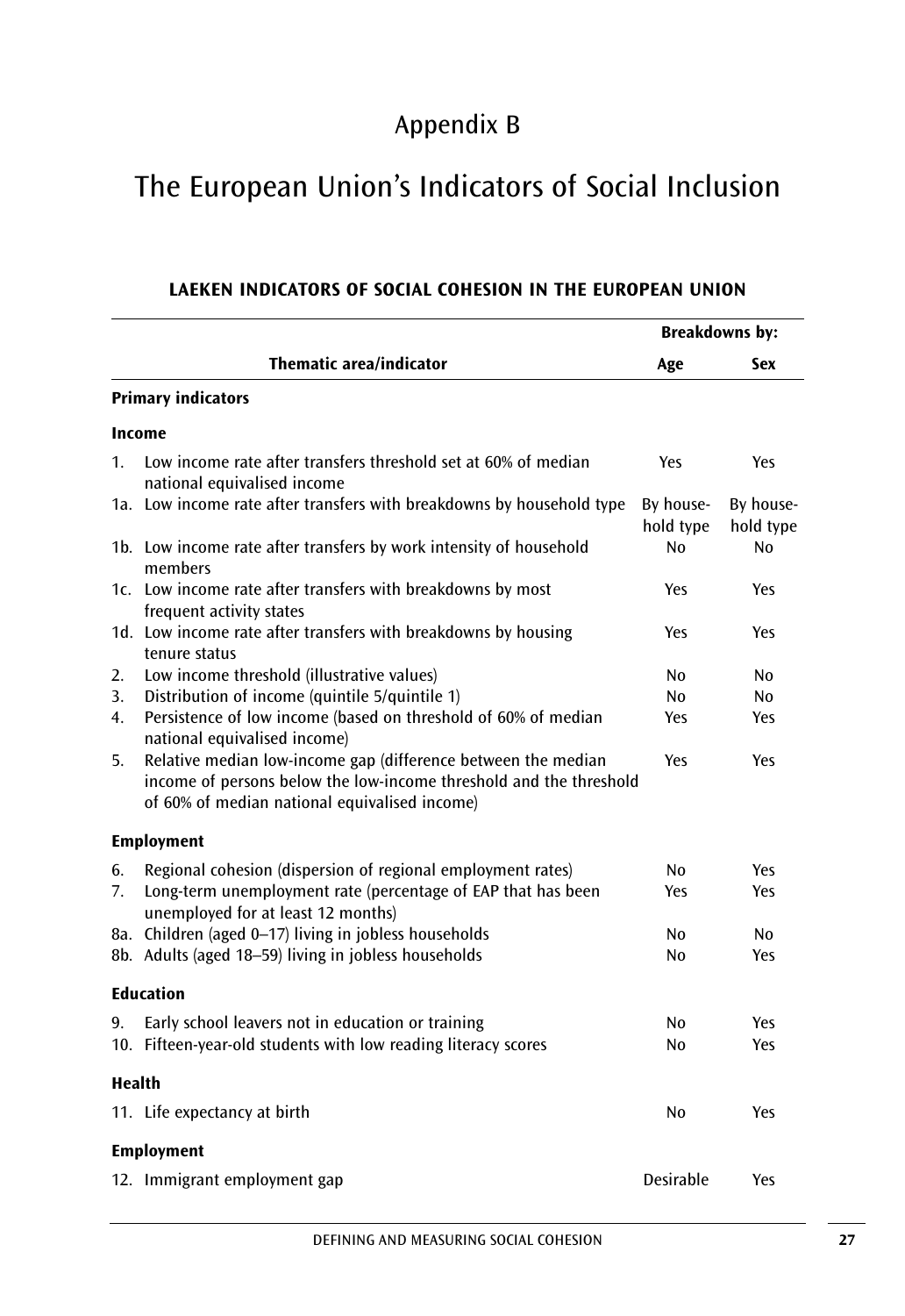### Appendix B

# The European Union's Indicators of Social Inclusion

|                |                                                                                                                                                                                      | <b>Breakdowns by:</b>  |                        |
|----------------|--------------------------------------------------------------------------------------------------------------------------------------------------------------------------------------|------------------------|------------------------|
|                | <b>Thematic area/indicator</b>                                                                                                                                                       | Age                    | Sex                    |
|                | <b>Primary indicators</b>                                                                                                                                                            |                        |                        |
|                | Income                                                                                                                                                                               |                        |                        |
| $\mathbf{1}$ . | Low income rate after transfers threshold set at 60% of median<br>national equivalised income                                                                                        | Yes                    | Yes                    |
|                | 1a. Low income rate after transfers with breakdowns by household type                                                                                                                | By house-<br>hold type | By house-<br>hold type |
|                | 1b. Low income rate after transfers by work intensity of household<br>members                                                                                                        | Nο                     | No                     |
|                | 1c. Low income rate after transfers with breakdowns by most<br>frequent activity states                                                                                              | Yes                    | Yes                    |
|                | 1d. Low income rate after transfers with breakdowns by housing<br>tenure status                                                                                                      | Yes                    | Yes                    |
| 2.             | Low income threshold (illustrative values)                                                                                                                                           | N <sub>0</sub>         | No                     |
| 3.             | Distribution of income (quintile 5/quintile 1)                                                                                                                                       | No.                    | No.                    |
| 4.             | Persistence of low income (based on threshold of 60% of median<br>national equivalised income)                                                                                       | Yes                    | Yes                    |
| 5.             | Relative median low-income gap (difference between the median<br>income of persons below the low-income threshold and the threshold<br>of 60% of median national equivalised income) | Yes                    | Yes                    |
|                | <b>Employment</b>                                                                                                                                                                    |                        |                        |
| 6.             | Regional cohesion (dispersion of regional employment rates)                                                                                                                          | N <sub>0</sub>         | Yes                    |
| 7.             | Long-term unemployment rate (percentage of EAP that has been<br>unemployed for at least 12 months)                                                                                   | Yes                    | Yes                    |
|                | 8a. Children (aged 0-17) living in jobless households                                                                                                                                | No                     | No                     |
|                | 8b. Adults (aged 18-59) living in jobless households                                                                                                                                 | N <sub>0</sub>         | Yes                    |
|                | <b>Education</b>                                                                                                                                                                     |                        |                        |
| 9.             | Early school leavers not in education or training                                                                                                                                    | N <sub>0</sub>         | Yes                    |
|                | 10. Fifteen-year-old students with low reading literacy scores                                                                                                                       | No                     | Yes                    |
| Health         |                                                                                                                                                                                      |                        |                        |
|                | 11. Life expectancy at birth                                                                                                                                                         | No                     | Yes                    |
|                | <b>Employment</b>                                                                                                                                                                    |                        |                        |
|                | 12. Immigrant employment gap                                                                                                                                                         | Desirable              | Yes                    |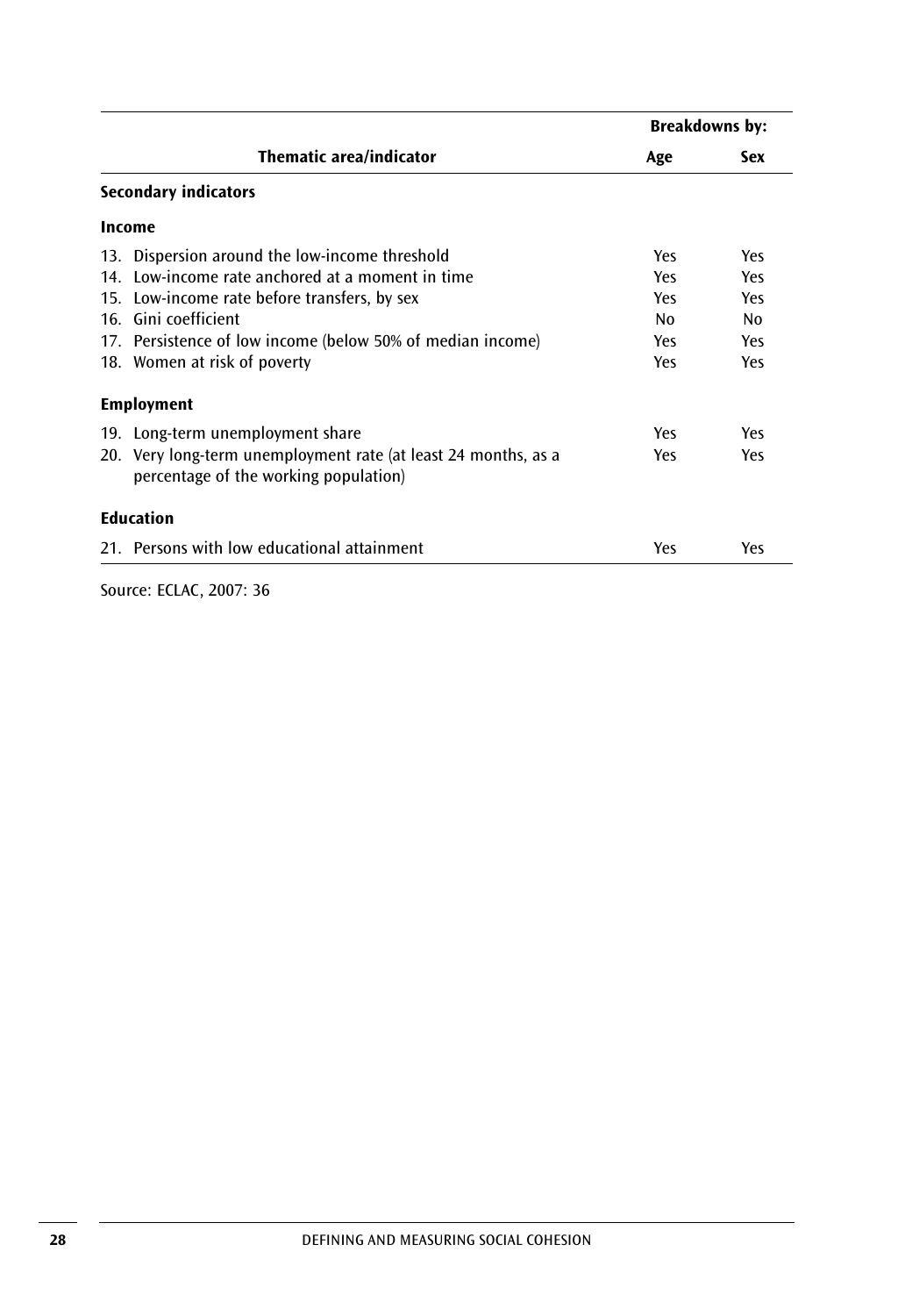|                                                                                                         | <b>Breakdowns by:</b> |     |
|---------------------------------------------------------------------------------------------------------|-----------------------|-----|
| <b>Thematic area/indicator</b>                                                                          | Age                   | Sex |
| <b>Secondary indicators</b>                                                                             |                       |     |
| Income                                                                                                  |                       |     |
| 13. Dispersion around the low-income threshold                                                          | Yes                   | Yes |
| 14. Low-income rate anchored at a moment in time                                                        | Yes                   | Yes |
| 15. Low-income rate before transfers, by sex                                                            | Yes                   | Yes |
| 16. Gini coefficient                                                                                    | No                    | No  |
| 17. Persistence of low income (below 50% of median income)                                              | Yes                   | Yes |
| 18. Women at risk of poverty                                                                            | Yes                   | Yes |
| <b>Employment</b>                                                                                       |                       |     |
| 19. Long-term unemployment share                                                                        | Yes                   | Yes |
| 20. Very long-term unemployment rate (at least 24 months, as a<br>percentage of the working population) | Yes                   | Yes |
| <b>Education</b>                                                                                        |                       |     |
| 21. Persons with low educational attainment                                                             | Yes                   | Yes |

Source: ECLAC, 2007: 36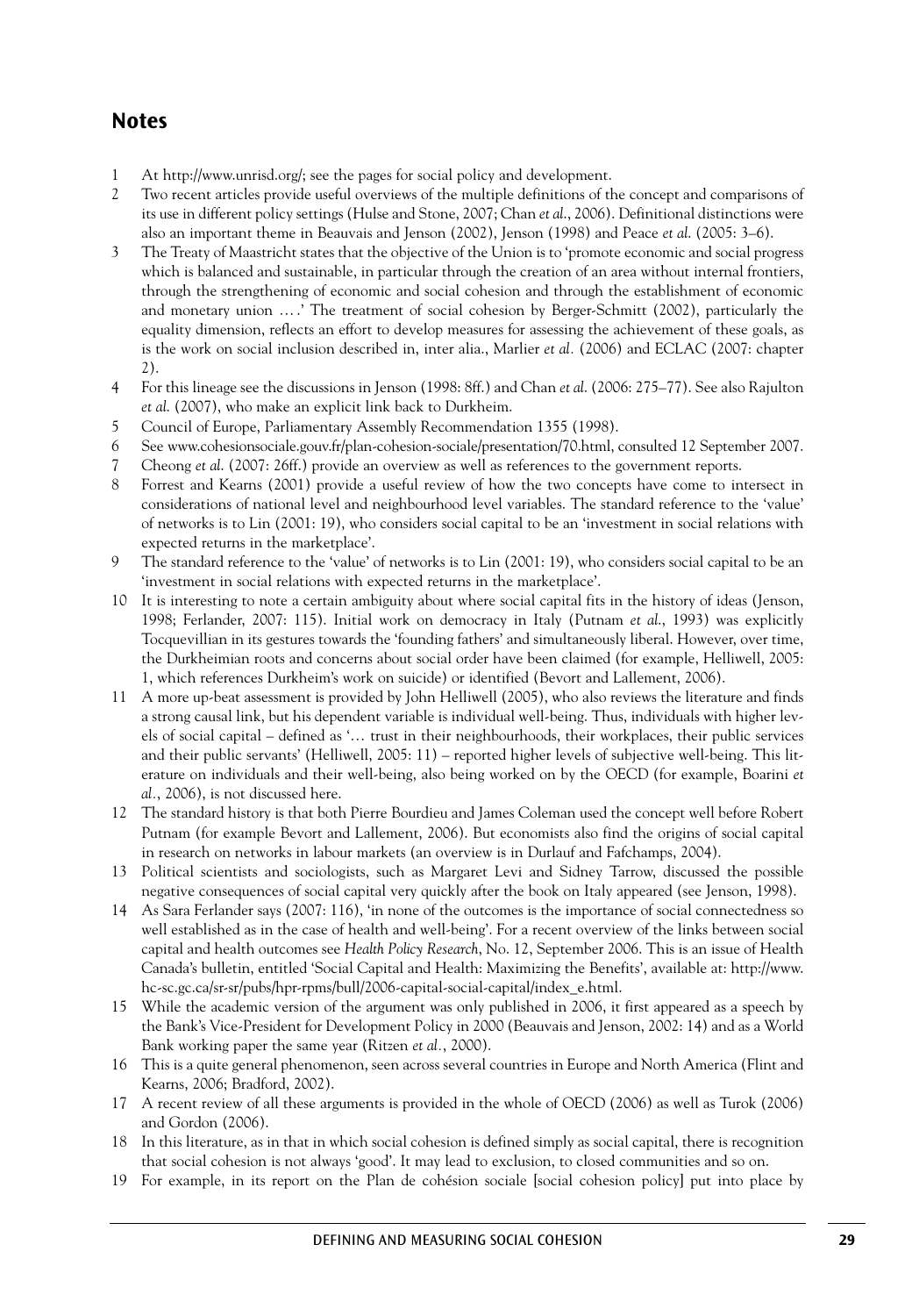### **Notes**

- 1 At http://www.unrisd.org/; see the pages for social policy and development.
- 2 Two recent articles provide useful overviews of the multiple definitions of the concept and comparisons of its use in different policy settings (Hulse and Stone, 2007; Chan *et al*., 2006). Definitional distinctions were also an important theme in Beauvais and Jenson (2002), Jenson (1998) and Peace *et al*. (2005: 3–6).
- 3 The Treaty of Maastricht states that the objective of the Union is to 'promote economic and social progress which is balanced and sustainable, in particular through the creation of an area without internal frontiers, through the strengthening of economic and social cohesion and through the establishment of economic and monetary union ….' The treatment of social cohesion by Berger-Schmitt (2002), particularly the equality dimension, reflects an effort to develop measures for assessing the achievement of these goals, as is the work on social inclusion described in, inter alia., Marlier *et al.* (2006) and ECLAC (2007: chapter 2).
- 4 For this lineage see the discussions in Jenson (1998: 8ff.) and Chan *et al*. (2006: 275–77). See also Rajulton *et al*. (2007), who make an explicit link back to Durkheim.
- 5 Council of Europe, Parliamentary Assembly Recommendation 1355 (1998).
- 6 See www.cohesionsociale.gouv.fr/plan-cohesion-sociale/presentation/70.html, consulted 12 September 2007.
- 7 Cheong *et al*. (2007: 26ff.) provide an overview as well as references to the government reports.
- 8 Forrest and Kearns (2001) provide a useful review of how the two concepts have come to intersect in considerations of national level and neighbourhood level variables. The standard reference to the 'value' of networks is to Lin (2001: 19), who considers social capital to be an 'investment in social relations with expected returns in the marketplace'.
- 9 The standard reference to the 'value' of networks is to Lin (2001: 19), who considers social capital to be an 'investment in social relations with expected returns in the marketplace'.
- 10 It is interesting to note a certain ambiguity about where social capital fits in the history of ideas (Jenson, 1998; Ferlander, 2007: 115). Initial work on democracy in Italy (Putnam *et al*., 1993) was explicitly Tocquevillian in its gestures towards the 'founding fathers' and simultaneously liberal. However, over time, the Durkheimian roots and concerns about social order have been claimed (for example, Helliwell, 2005: 1, which references Durkheim's work on suicide) or identified (Bevort and Lallement, 2006).
- 11 A more up-beat assessment is provided by John Helliwell (2005), who also reviews the literature and finds a strong causal link, but his dependent variable is individual well-being. Thus, individuals with higher levels of social capital – defined as '… trust in their neighbourhoods, their workplaces, their public services and their public servants' (Helliwell, 2005: 11) – reported higher levels of subjective well-being. This literature on individuals and their well-being, also being worked on by the OECD (for example, Boarini *et al.*, 2006), is not discussed here.
- 12 The standard history is that both Pierre Bourdieu and James Coleman used the concept well before Robert Putnam (for example Bevort and Lallement, 2006). But economists also find the origins of social capital in research on networks in labour markets (an overview is in Durlauf and Fafchamps, 2004).
- 13 Political scientists and sociologists, such as Margaret Levi and Sidney Tarrow, discussed the possible negative consequences of social capital very quickly after the book on Italy appeared (see Jenson, 1998).
- 14 As Sara Ferlander says (2007: 116), 'in none of the outcomes is the importance of social connectedness so well established as in the case of health and well-being'. For a recent overview of the links between social capital and health outcomes see *Health Policy Research*, No. 12, September 2006. This is an issue of Health Canada's bulletin, entitled 'Social Capital and Health: Maximizing the Benefits', available at: http://www. hc-sc.gc.ca/sr-sr/pubs/hpr-rpms/bull/2006-capital-social-capital/index\_e.html.
- 15 While the academic version of the argument was only published in 2006, it first appeared as a speech by the Bank's Vice-President for Development Policy in 2000 (Beauvais and Jenson, 2002: 14) and as a World Bank working paper the same year (Ritzen *et al.*, 2000).
- 16 This is a quite general phenomenon, seen across several countries in Europe and North America (Flint and Kearns, 2006; Bradford, 2002).
- 17 A recent review of all these arguments is provided in the whole of OECD (2006) as well as Turok (2006) and Gordon (2006).
- 18 In this literature, as in that in which social cohesion is defined simply as social capital, there is recognition that social cohesion is not always 'good'. It may lead to exclusion, to closed communities and so on.
- 19 For example, in its report on the Plan de cohésion sociale [social cohesion policy] put into place by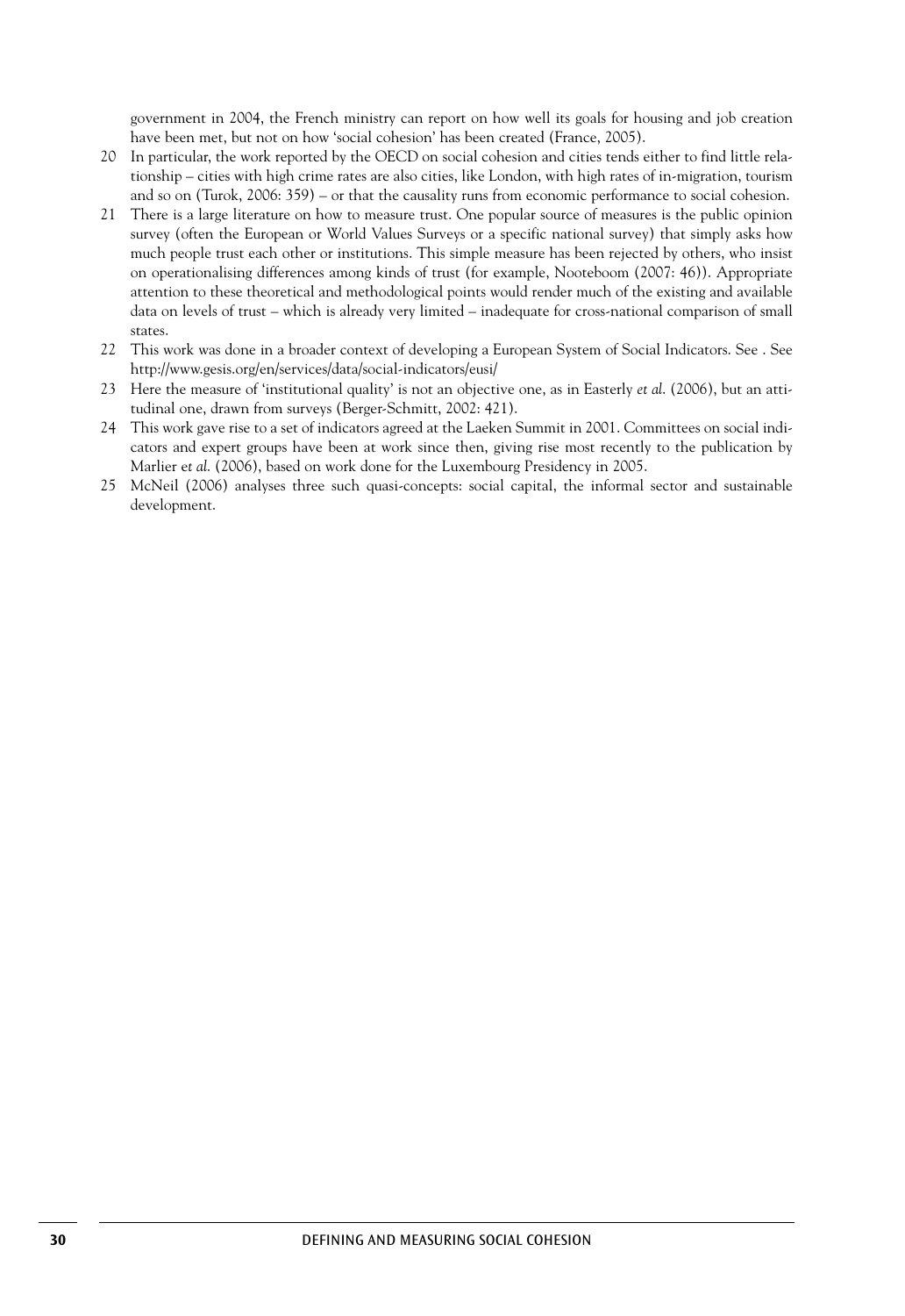government in 2004, the French ministry can report on how well its goals for housing and job creation have been met, but not on how 'social cohesion' has been created (France, 2005).

- 20 In particular, the work reported by the OECD on social cohesion and cities tends either to find little relationship – cities with high crime rates are also cities, like London, with high rates of in-migration, tourism and so on (Turok, 2006: 359) – or that the causality runs from economic performance to social cohesion.
- 21 There is a large literature on how to measure trust. One popular source of measures is the public opinion survey (often the European or World Values Surveys or a specific national survey) that simply asks how much people trust each other or institutions. This simple measure has been rejected by others, who insist on operationalising differences among kinds of trust (for example, Nooteboom (2007: 46)). Appropriate attention to these theoretical and methodological points would render much of the existing and available data on levels of trust – which is already very limited – inadequate for cross-national comparison of small states.
- 22 This work was done in a broader context of developing a European System of Social Indicators. See . See http://www.gesis.org/en/services/data/social-indicators/eusi/
- 23 Here the measure of 'institutional quality' is not an objective one, as in Easterly *et al*. (2006), but an attitudinal one, drawn from surveys (Berger-Schmitt, 2002: 421).
- 24 This work gave rise to a set of indicators agreed at the Laeken Summit in 2001. Committees on social indicators and expert groups have been at work since then, giving rise most recently to the publication by Marlier e*t al*. (2006), based on work done for the Luxembourg Presidency in 2005.
- 25 McNeil (2006) analyses three such quasi-concepts: social capital, the informal sector and sustainable development.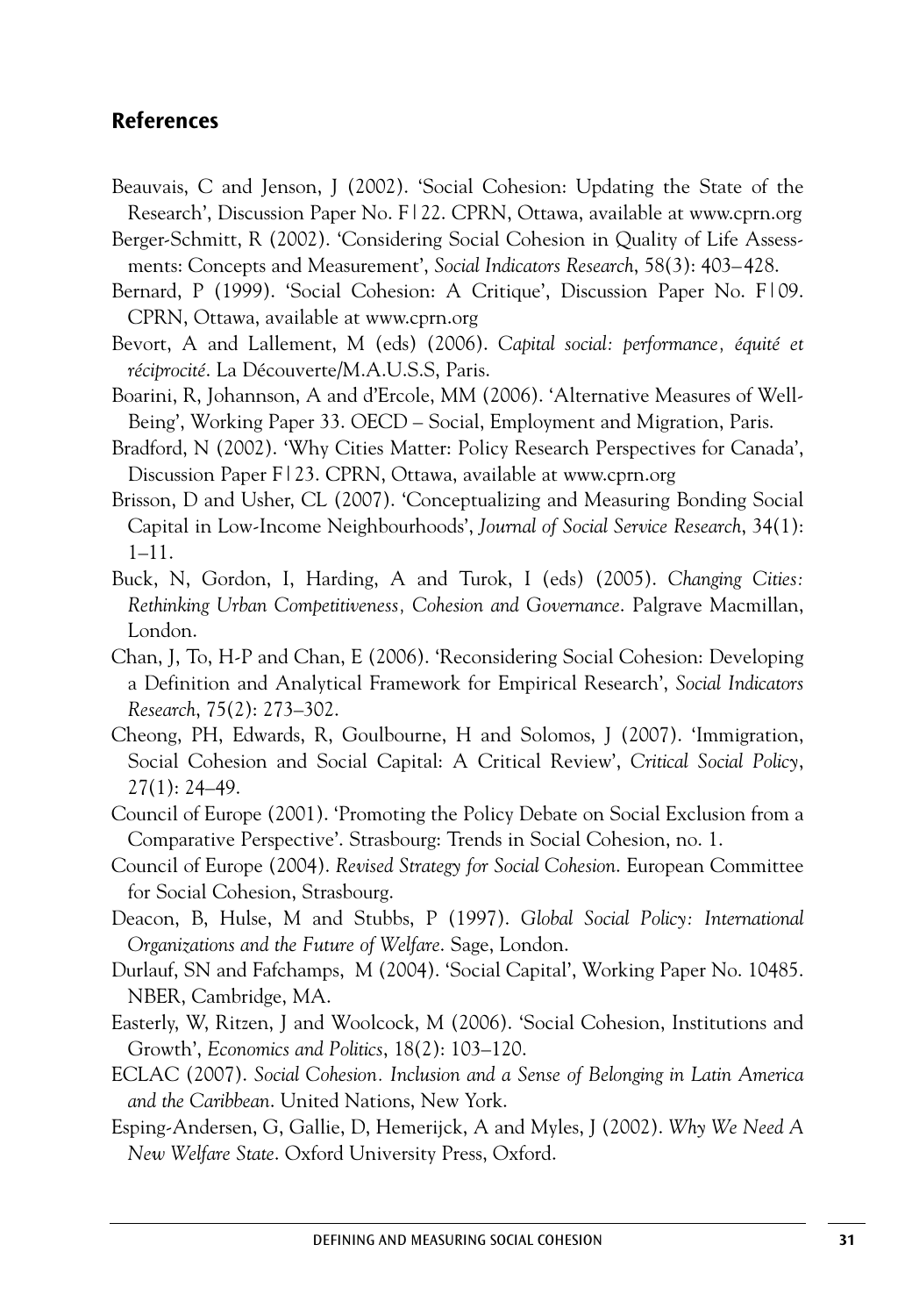### **References**

- Beauvais, C and Jenson, J (2002). 'Social Cohesion: Updating the State of the Research', Discussion Paper No. F|22. CPRN, Ottawa, available at www.cprn.org
- Berger-Schmitt, R (2002). 'Considering Social Cohesion in Quality of Life Assessments: Concepts and Measurement', *Social Indicators Research*, 58(3): 403–428.
- Bernard, P (1999). 'Social Cohesion: A Critique', Discussion Paper No. F|09. CPRN, Ottawa, available at www.cprn.org
- Bevort, A and Lallement, M (eds) (2006). *Capital social: performance, équité et réciprocité*. La Découverte/M.A.U.S.S, Paris.
- Boarini, R, Johannson, A and d'Ercole, MM (2006). 'Alternative Measures of Well-Being', Working Paper 33. OECD – Social, Employment and Migration, Paris.
- Bradford, N (2002). 'Why Cities Matter: Policy Research Perspectives for Canada', Discussion Paper F|23. CPRN, Ottawa, available at www.cprn.org
- Brisson, D and Usher, CL (2007). 'Conceptualizing and Measuring Bonding Social Capital in Low-Income Neighbourhoods', *Journal of Social Service Research*, 34(1): 1–11.
- Buck, N, Gordon, I, Harding, A and Turok, I (eds) (2005). *Changing Cities: Rethinking Urban Competitiveness, Cohesion and Governance*. Palgrave Macmillan, London.
- Chan, J, To, H-P and Chan, E (2006). 'Reconsidering Social Cohesion: Developing a Definition and Analytical Framework for Empirical Research', *Social Indicators Research*, 75(2): 273–302.
- Cheong, PH, Edwards, R, Goulbourne, H and Solomos, J (2007). 'Immigration, Social Cohesion and Social Capital: A Critical Review', *Critical Social Policy*, 27(1): 24–49.
- Council of Europe (2001). 'Promoting the Policy Debate on Social Exclusion from a Comparative Perspective'. Strasbourg: Trends in Social Cohesion, no. 1.
- Council of Europe (2004). *Revised Strategy for Social Cohesion*. European Committee for Social Cohesion, Strasbourg.
- Deacon, B, Hulse, M and Stubbs, P (1997). *Global Social Policy: International Organizations and the Future of Welfare*. Sage, London.
- Durlauf, SN and Fafchamps, M (2004). 'Social Capital', Working Paper No. 10485. NBER, Cambridge, MA.
- Easterly, W, Ritzen, J and Woolcock, M (2006). 'Social Cohesion, Institutions and Growth', *Economics and Politics*, 18(2): 103–120.
- ECLAC (2007). *Social Cohesion. Inclusion and a Sense of Belonging in Latin America and the Caribbean*. United Nations, New York.
- Esping-Andersen, G, Gallie, D, Hemerijck, A and Myles, J (2002). *Why We Need A New Welfare State*. Oxford University Press, Oxford.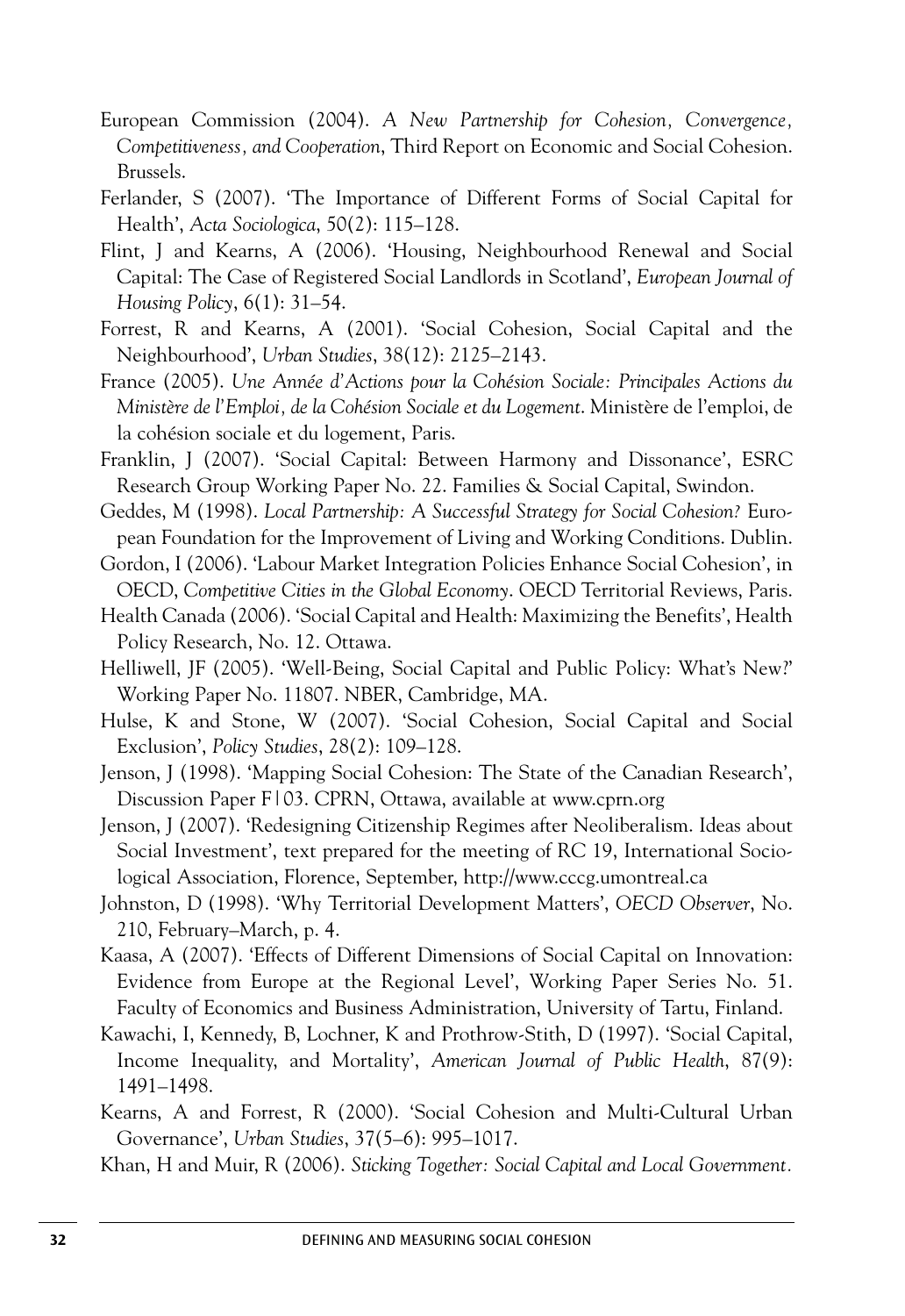- European Commission (2004). *A New Partnership for Cohesion, Convergence, Competitiveness, and Cooperation*, Third Report on Economic and Social Cohesion. Brussels.
- Ferlander, S (2007). 'The Importance of Different Forms of Social Capital for Health', *Acta Sociologica*, 50(2): 115–128.
- Flint, J and Kearns, A (2006). 'Housing, Neighbourhood Renewal and Social Capital: The Case of Registered Social Landlords in Scotland', *European Journal of Housing Policy*, 6(1): 31–54.
- Forrest, R and Kearns, A (2001). 'Social Cohesion, Social Capital and the Neighbourhood', *Urban Studies*, 38(12): 2125–2143.
- France (2005). *Une Année d'Actions pour la Cohésion Sociale: Principales Actions du Ministère de l'Emploi, de la Cohésion Sociale et du Logement*. Ministère de l'emploi, de la cohésion sociale et du logement, Paris.
- Franklin, J (2007). 'Social Capital: Between Harmony and Dissonance', ESRC Research Group Working Paper No. 22. Families & Social Capital, Swindon.
- Geddes, M (1998). *Local Partnership: A Successful Strategy for Social Cohesion?* European Foundation for the Improvement of Living and Working Conditions. Dublin.
- Gordon, I (2006). 'Labour Market Integration Policies Enhance Social Cohesion', in OECD, *Competitive Cities in the Global Economy*. OECD Territorial Reviews, Paris.
- Health Canada (2006). 'Social Capital and Health: Maximizing the Benefits', Health Policy Research, No. 12. Ottawa.
- Helliwell, JF (2005). 'Well-Being, Social Capital and Public Policy: What's New?' Working Paper No. 11807. NBER, Cambridge, MA.
- Hulse, K and Stone, W (2007). 'Social Cohesion, Social Capital and Social Exclusion', *Policy Studies*, 28(2): 109–128.
- Jenson, J (1998). 'Mapping Social Cohesion: The State of the Canadian Research', Discussion Paper F|03. CPRN, Ottawa, available at www.cprn.org
- Jenson, J (2007). 'Redesigning Citizenship Regimes after Neoliberalism. Ideas about Social Investment', text prepared for the meeting of RC 19, International Sociological Association, Florence, September, http://www.cccg.umontreal.ca
- Johnston, D (1998). 'Why Territorial Development Matters', *OECD Observer*, No. 210, February–March, p. 4.
- Kaasa, A (2007). 'Effects of Different Dimensions of Social Capital on Innovation: Evidence from Europe at the Regional Level', Working Paper Series No. 51. Faculty of Economics and Business Administration, University of Tartu, Finland.
- Kawachi, I, Kennedy, B, Lochner, K and Prothrow-Stith, D (1997). 'Social Capital, Income Inequality, and Mortality', *American Journal of Public Health*, 87(9): 1491–1498.
- Kearns, A and Forrest, R (2000). 'Social Cohesion and Multi-Cultural Urban Governance', *Urban Studies*, 37(5–6): 995–1017.
- Khan, H and Muir, R (2006). *Sticking Together: Social Capital and Local Government.*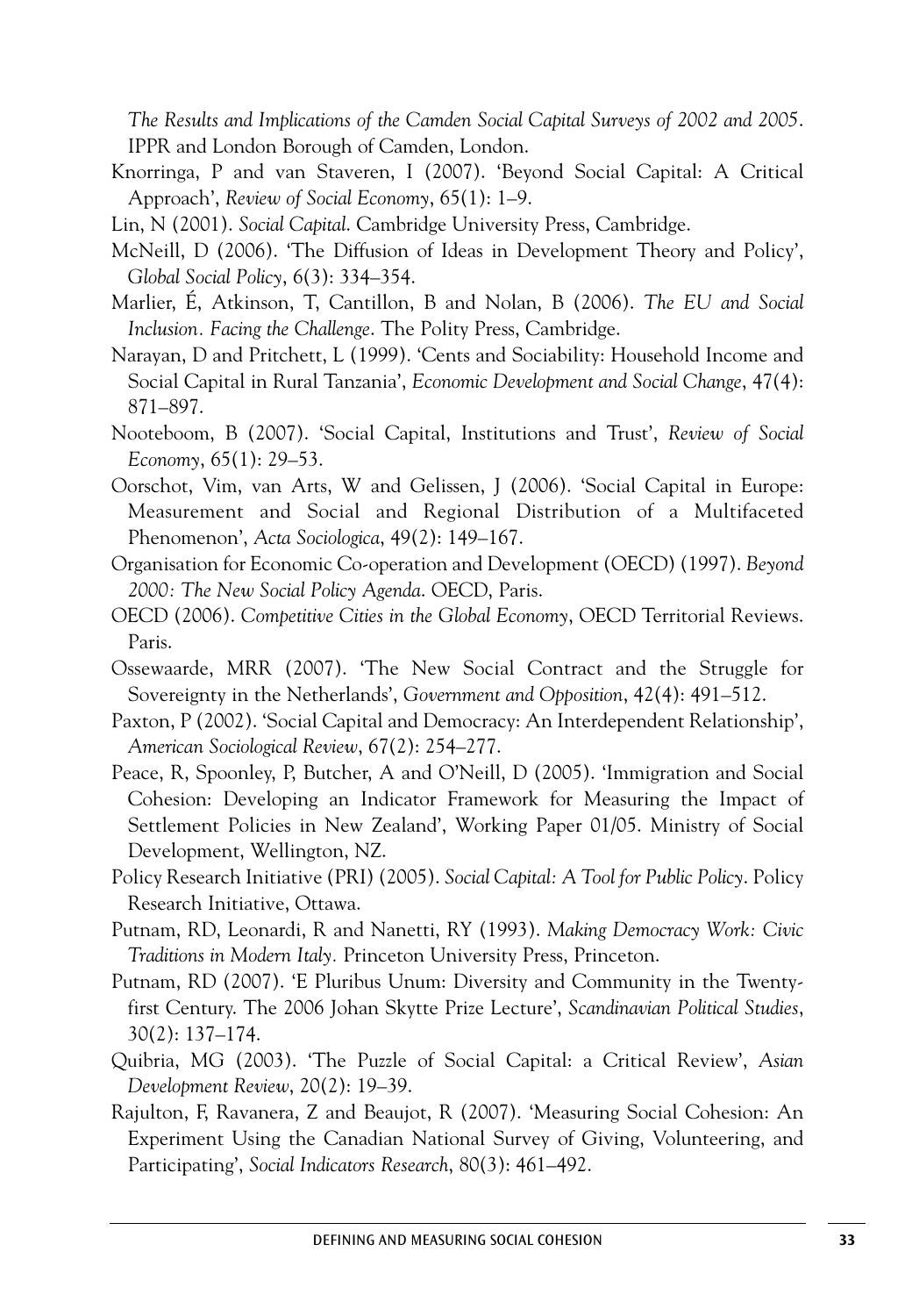*The Results and Implications of the Camden Social Capital Surveys of 2002 and 2005*. IPPR and London Borough of Camden, London.

- Knorringa, P and van Staveren, I (2007). 'Beyond Social Capital: A Critical Approach', *Review of Social Economy*, 65(1): 1–9.
- Lin, N (2001). *Social Capital*. Cambridge University Press, Cambridge.
- McNeill, D (2006). 'The Diffusion of Ideas in Development Theory and Policy', *Global Social Policy*, 6(3): 334–354.
- Marlier, É, Atkinson, T, Cantillon, B and Nolan, B (2006). *The EU and Social Inclusion. Facing the Challenge*. The Polity Press, Cambridge.
- Narayan, D and Pritchett, L (1999). 'Cents and Sociability: Household Income and Social Capital in Rural Tanzania', *Economic Development and Social Change*, 47(4): 871–897.
- Nooteboom, B (2007). 'Social Capital, Institutions and Trust', *Review of Social Economy*, 65(1): 29–53.
- Oorschot, Vim, van Arts, W and Gelissen, J (2006). 'Social Capital in Europe: Measurement and Social and Regional Distribution of a Multifaceted Phenomenon', *Acta Sociologica*, 49(2): 149–167.
- Organisation for Economic Co-operation and Development (OECD) (1997). *Beyond 2000: The New Social Policy Agenda*. OECD, Paris.
- OECD (2006). *Competitive Cities in the Global Economy*, OECD Territorial Reviews. Paris.
- Ossewaarde, MRR (2007). 'The New Social Contract and the Struggle for Sovereignty in the Netherlands', *Government and Opposition*, 42(4): 491–512.
- Paxton, P (2002). 'Social Capital and Democracy: An Interdependent Relationship', *American Sociological Review*, 67(2): 254–277.
- Peace, R, Spoonley, P, Butcher, A and O'Neill, D (2005). 'Immigration and Social Cohesion: Developing an Indicator Framework for Measuring the Impact of Settlement Policies in New Zealand', Working Paper 01/05. Ministry of Social Development, Wellington, NZ.
- Policy Research Initiative (PRI) (2005). *Social Capital: A Tool for Public Policy*. Policy Research Initiative, Ottawa.
- Putnam, RD, Leonardi, R and Nanetti, RY (1993). *Making Democracy Work: Civic Traditions in Modern Italy.* Princeton University Press, Princeton.
- Putnam, RD (2007). 'E Pluribus Unum: Diversity and Community in the Twentyfirst Century. The 2006 Johan Skytte Prize Lecture', *Scandinavian Political Studies*, 30(2): 137–174.
- Quibria, MG (2003). 'The Puzzle of Social Capital: a Critical Review', *Asian Development Review*, 20(2): 19–39.
- Rajulton, F, Ravanera, Z and Beaujot, R (2007). 'Measuring Social Cohesion: An Experiment Using the Canadian National Survey of Giving, Volunteering, and Participating', *Social Indicators Research*, 80(3): 461–492.